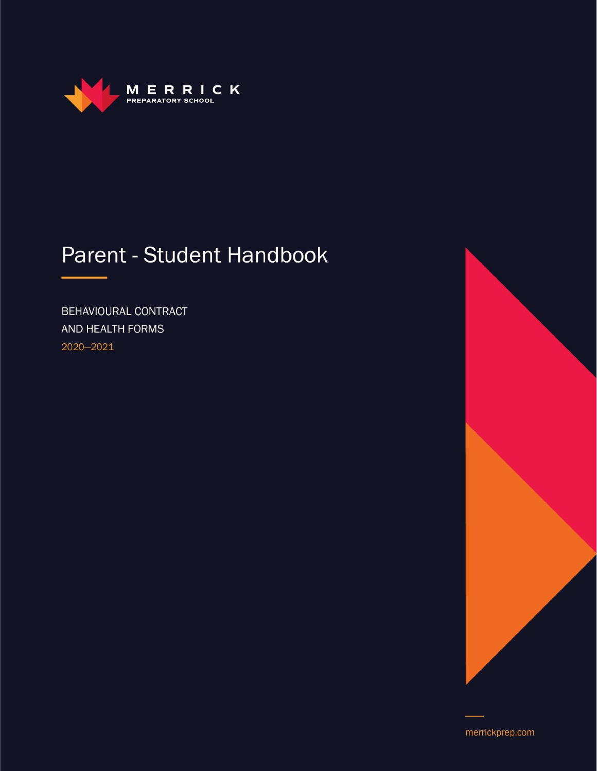

# Parent - Student Handbook

BEHAVIOURAL CONTRACT AND HEALTH FORMS 2020-2021



merrickprep.com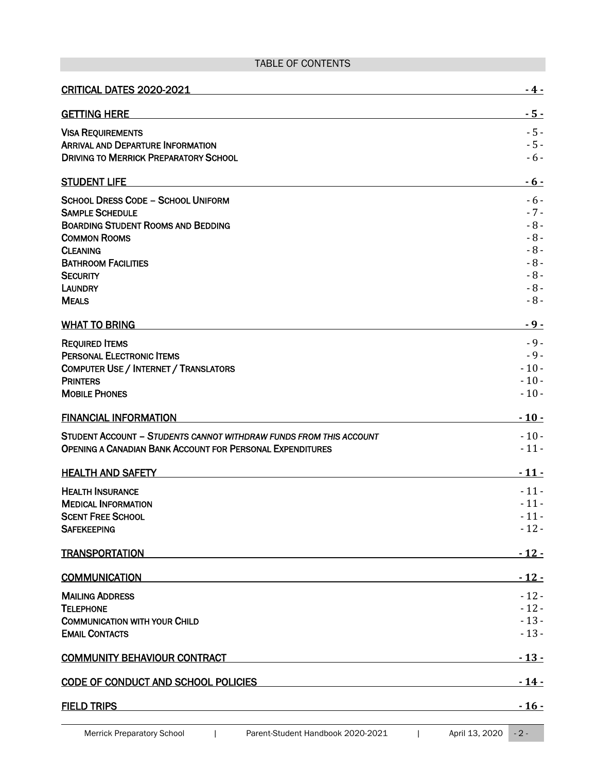# TABLE OF CONTENTS

| <b>GETTING HERE</b><br><b>VISA REQUIREMENTS</b><br><b>ARRIVAL AND DEPARTURE INFORMATION</b><br><b>DRIVING TO MERRICK PREPARATORY SCHOOL</b><br><b>STUDENT LIFE</b><br><b>SCHOOL DRESS CODE - SCHOOL UNIFORM</b><br><b>SAMPLE SCHEDULE</b><br><b>BOARDING STUDENT ROOMS AND BEDDING</b><br>$-8-$<br><b>COMMON ROOMS</b><br>$-8-$<br><b>CLEANING</b><br><b>BATHROOM FACILITIES</b><br>$-8-$<br>$-8-$<br><b>SECURITY</b><br>$-8-$<br><b>LAUNDRY</b><br><b>MEALS</b><br><b>WHAT TO BRING</b><br>$-9-$<br><b>REQUIRED ITEMS</b><br><b>PERSONAL ELECTRONIC ITEMS</b><br><b>COMPUTER USE / INTERNET / TRANSLATORS</b><br><b>PRINTERS</b><br><b>MOBILE PHONES</b><br><b>FINANCIAL INFORMATION</b><br>STUDENT ACCOUNT - STUDENTS CANNOT WITHDRAW FUNDS FROM THIS ACCOUNT<br>OPENING A CANADIAN BANK ACCOUNT FOR PERSONAL EXPENDITURES<br><b>HEALTH AND SAFETY</b><br>$-11-$<br><b>HEALTH INSURANCE</b><br>$-11-$<br><b>MEDICAL INFORMATION</b><br><b>SCENT FREE SCHOOL</b><br><b>SAFEKEEPING</b><br><b>TRANSPORTATION</b><br><b>COMMUNICATION</b><br>$-12-$<br><b>MAILING ADDRESS</b><br><b>TELEPHONE</b><br><b>COMMUNICATION WITH YOUR CHILD</b><br><b>EMAIL CONTACTS</b><br><b>COMMUNITY BEHAVIOUR CONTRACT</b> | CRITICAL DATES 2020-2021                   | - 4 -        |
|----------------------------------------------------------------------------------------------------------------------------------------------------------------------------------------------------------------------------------------------------------------------------------------------------------------------------------------------------------------------------------------------------------------------------------------------------------------------------------------------------------------------------------------------------------------------------------------------------------------------------------------------------------------------------------------------------------------------------------------------------------------------------------------------------------------------------------------------------------------------------------------------------------------------------------------------------------------------------------------------------------------------------------------------------------------------------------------------------------------------------------------------------------------------------------------------------------|--------------------------------------------|--------------|
|                                                                                                                                                                                                                                                                                                                                                                                                                                                                                                                                                                                                                                                                                                                                                                                                                                                                                                                                                                                                                                                                                                                                                                                                          |                                            | - 5 -        |
|                                                                                                                                                                                                                                                                                                                                                                                                                                                                                                                                                                                                                                                                                                                                                                                                                                                                                                                                                                                                                                                                                                                                                                                                          |                                            | $-5-$        |
|                                                                                                                                                                                                                                                                                                                                                                                                                                                                                                                                                                                                                                                                                                                                                                                                                                                                                                                                                                                                                                                                                                                                                                                                          |                                            | $-5-$        |
|                                                                                                                                                                                                                                                                                                                                                                                                                                                                                                                                                                                                                                                                                                                                                                                                                                                                                                                                                                                                                                                                                                                                                                                                          |                                            | $-6-$        |
|                                                                                                                                                                                                                                                                                                                                                                                                                                                                                                                                                                                                                                                                                                                                                                                                                                                                                                                                                                                                                                                                                                                                                                                                          |                                            | <u>- 6 -</u> |
|                                                                                                                                                                                                                                                                                                                                                                                                                                                                                                                                                                                                                                                                                                                                                                                                                                                                                                                                                                                                                                                                                                                                                                                                          |                                            | $-6-$        |
|                                                                                                                                                                                                                                                                                                                                                                                                                                                                                                                                                                                                                                                                                                                                                                                                                                                                                                                                                                                                                                                                                                                                                                                                          |                                            | $-7-$        |
|                                                                                                                                                                                                                                                                                                                                                                                                                                                                                                                                                                                                                                                                                                                                                                                                                                                                                                                                                                                                                                                                                                                                                                                                          |                                            | $-8-$        |
|                                                                                                                                                                                                                                                                                                                                                                                                                                                                                                                                                                                                                                                                                                                                                                                                                                                                                                                                                                                                                                                                                                                                                                                                          |                                            |              |
|                                                                                                                                                                                                                                                                                                                                                                                                                                                                                                                                                                                                                                                                                                                                                                                                                                                                                                                                                                                                                                                                                                                                                                                                          |                                            |              |
|                                                                                                                                                                                                                                                                                                                                                                                                                                                                                                                                                                                                                                                                                                                                                                                                                                                                                                                                                                                                                                                                                                                                                                                                          |                                            |              |
|                                                                                                                                                                                                                                                                                                                                                                                                                                                                                                                                                                                                                                                                                                                                                                                                                                                                                                                                                                                                                                                                                                                                                                                                          |                                            |              |
|                                                                                                                                                                                                                                                                                                                                                                                                                                                                                                                                                                                                                                                                                                                                                                                                                                                                                                                                                                                                                                                                                                                                                                                                          |                                            | $-8-$        |
|                                                                                                                                                                                                                                                                                                                                                                                                                                                                                                                                                                                                                                                                                                                                                                                                                                                                                                                                                                                                                                                                                                                                                                                                          |                                            | $-9-$        |
|                                                                                                                                                                                                                                                                                                                                                                                                                                                                                                                                                                                                                                                                                                                                                                                                                                                                                                                                                                                                                                                                                                                                                                                                          |                                            |              |
|                                                                                                                                                                                                                                                                                                                                                                                                                                                                                                                                                                                                                                                                                                                                                                                                                                                                                                                                                                                                                                                                                                                                                                                                          |                                            | $-9-$        |
|                                                                                                                                                                                                                                                                                                                                                                                                                                                                                                                                                                                                                                                                                                                                                                                                                                                                                                                                                                                                                                                                                                                                                                                                          |                                            | $-10-$       |
|                                                                                                                                                                                                                                                                                                                                                                                                                                                                                                                                                                                                                                                                                                                                                                                                                                                                                                                                                                                                                                                                                                                                                                                                          |                                            | $-10-$       |
|                                                                                                                                                                                                                                                                                                                                                                                                                                                                                                                                                                                                                                                                                                                                                                                                                                                                                                                                                                                                                                                                                                                                                                                                          |                                            | $-10-$       |
|                                                                                                                                                                                                                                                                                                                                                                                                                                                                                                                                                                                                                                                                                                                                                                                                                                                                                                                                                                                                                                                                                                                                                                                                          |                                            | $-10-$       |
|                                                                                                                                                                                                                                                                                                                                                                                                                                                                                                                                                                                                                                                                                                                                                                                                                                                                                                                                                                                                                                                                                                                                                                                                          |                                            | $-10-$       |
|                                                                                                                                                                                                                                                                                                                                                                                                                                                                                                                                                                                                                                                                                                                                                                                                                                                                                                                                                                                                                                                                                                                                                                                                          |                                            | $-11-$       |
|                                                                                                                                                                                                                                                                                                                                                                                                                                                                                                                                                                                                                                                                                                                                                                                                                                                                                                                                                                                                                                                                                                                                                                                                          |                                            | $-11-$       |
|                                                                                                                                                                                                                                                                                                                                                                                                                                                                                                                                                                                                                                                                                                                                                                                                                                                                                                                                                                                                                                                                                                                                                                                                          |                                            |              |
|                                                                                                                                                                                                                                                                                                                                                                                                                                                                                                                                                                                                                                                                                                                                                                                                                                                                                                                                                                                                                                                                                                                                                                                                          |                                            |              |
|                                                                                                                                                                                                                                                                                                                                                                                                                                                                                                                                                                                                                                                                                                                                                                                                                                                                                                                                                                                                                                                                                                                                                                                                          |                                            | $-11-$       |
|                                                                                                                                                                                                                                                                                                                                                                                                                                                                                                                                                                                                                                                                                                                                                                                                                                                                                                                                                                                                                                                                                                                                                                                                          |                                            | $-12-$       |
|                                                                                                                                                                                                                                                                                                                                                                                                                                                                                                                                                                                                                                                                                                                                                                                                                                                                                                                                                                                                                                                                                                                                                                                                          |                                            | $-12-$       |
|                                                                                                                                                                                                                                                                                                                                                                                                                                                                                                                                                                                                                                                                                                                                                                                                                                                                                                                                                                                                                                                                                                                                                                                                          |                                            | $-12-$       |
|                                                                                                                                                                                                                                                                                                                                                                                                                                                                                                                                                                                                                                                                                                                                                                                                                                                                                                                                                                                                                                                                                                                                                                                                          |                                            |              |
|                                                                                                                                                                                                                                                                                                                                                                                                                                                                                                                                                                                                                                                                                                                                                                                                                                                                                                                                                                                                                                                                                                                                                                                                          |                                            | $-12-$       |
|                                                                                                                                                                                                                                                                                                                                                                                                                                                                                                                                                                                                                                                                                                                                                                                                                                                                                                                                                                                                                                                                                                                                                                                                          |                                            | $-13-$       |
|                                                                                                                                                                                                                                                                                                                                                                                                                                                                                                                                                                                                                                                                                                                                                                                                                                                                                                                                                                                                                                                                                                                                                                                                          |                                            | $-13-$       |
|                                                                                                                                                                                                                                                                                                                                                                                                                                                                                                                                                                                                                                                                                                                                                                                                                                                                                                                                                                                                                                                                                                                                                                                                          |                                            | $-13-$       |
|                                                                                                                                                                                                                                                                                                                                                                                                                                                                                                                                                                                                                                                                                                                                                                                                                                                                                                                                                                                                                                                                                                                                                                                                          | <b>CODE OF CONDUCT AND SCHOOL POLICIES</b> | $-14-$       |
| <b>FIELD TRIPS</b>                                                                                                                                                                                                                                                                                                                                                                                                                                                                                                                                                                                                                                                                                                                                                                                                                                                                                                                                                                                                                                                                                                                                                                                       |                                            | $-16-$       |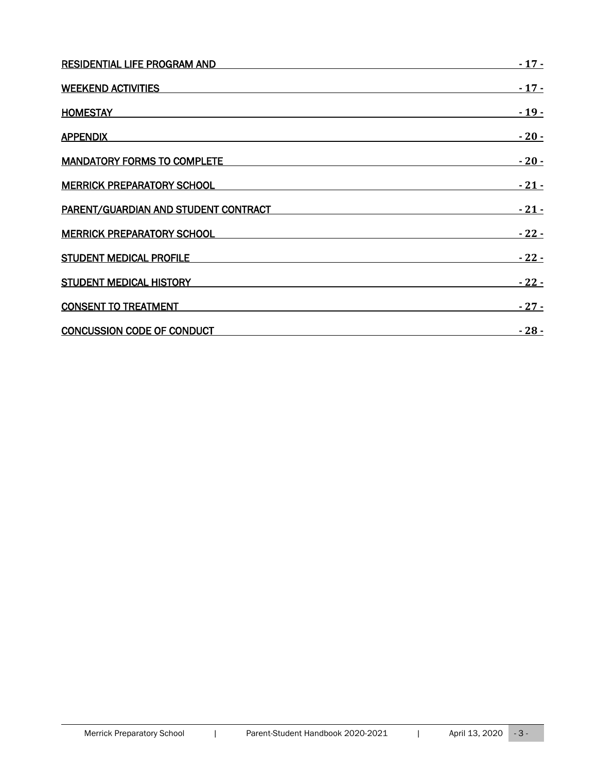| <b>RESIDENTIAL LIFE PROGRAM AND</b>  | $-17-$ |
|--------------------------------------|--------|
| <b>WEEKEND ACTIVITIES</b>            | $-17-$ |
| <b>HOMESTAY</b>                      |        |
| <b>APPENDIX</b>                      | $-20-$ |
| <b>MANDATORY FORMS TO COMPLETE</b>   | $-20-$ |
| <b>MERRICK PREPARATORY SCHOOL</b>    | $-21-$ |
| PARENT/GUARDIAN AND STUDENT CONTRACT | $-21-$ |
| <b>MERRICK PREPARATORY SCHOOL</b>    | $-22-$ |
| <b>STUDENT MEDICAL PROFILE</b>       | $-22-$ |
| <b>STUDENT MEDICAL HISTORY</b>       | $-22-$ |
| <b>CONSENT TO TREATMENT</b>          | $-27-$ |
| <b>CONCUSSION CODE OF CONDUCT</b>    | $-28-$ |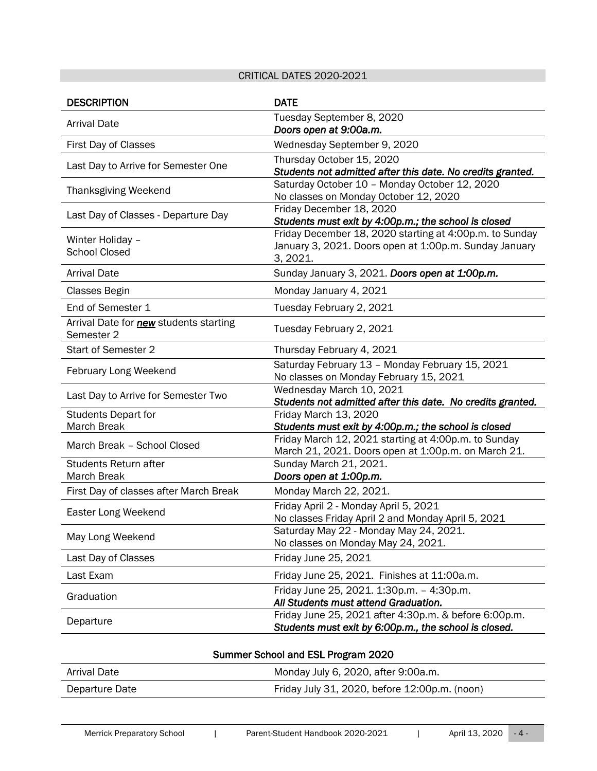# CRITICAL DATES 2020-2021

<span id="page-3-0"></span>

| <b>DESCRIPTION</b>                                          | <b>DATE</b>                                                                                                                   |
|-------------------------------------------------------------|-------------------------------------------------------------------------------------------------------------------------------|
| <b>Arrival Date</b>                                         | Tuesday September 8, 2020<br>Doors open at 9:00a.m.                                                                           |
| First Day of Classes                                        | Wednesday September 9, 2020                                                                                                   |
| Last Day to Arrive for Semester One                         | Thursday October 15, 2020<br>Students not admitted after this date. No credits granted.                                       |
| <b>Thanksgiving Weekend</b>                                 | Saturday October 10 - Monday October 12, 2020<br>No classes on Monday October 12, 2020                                        |
| Last Day of Classes - Departure Day                         | Friday December 18, 2020<br>Students must exit by 4:00p.m.; the school is closed                                              |
| Winter Holiday -<br><b>School Closed</b>                    | Friday December 18, 2020 starting at 4:00p.m. to Sunday<br>January 3, 2021. Doors open at 1:00p.m. Sunday January<br>3, 2021. |
| <b>Arrival Date</b>                                         | Sunday January 3, 2021. Doors open at 1:00p.m.                                                                                |
| Classes Begin                                               | Monday January 4, 2021                                                                                                        |
| End of Semester 1                                           | Tuesday February 2, 2021                                                                                                      |
| Arrival Date for <b>new</b> students starting<br>Semester 2 | Tuesday February 2, 2021                                                                                                      |
| Start of Semester 2                                         | Thursday February 4, 2021                                                                                                     |
| February Long Weekend                                       | Saturday February 13 - Monday February 15, 2021<br>No classes on Monday February 15, 2021                                     |
| Last Day to Arrive for Semester Two                         | Wednesday March 10, 2021<br>Students not admitted after this date. No credits granted.                                        |
| <b>Students Depart for</b><br><b>March Break</b>            | Friday March 13, 2020<br>Students must exit by 4:00p.m.; the school is closed                                                 |
| March Break - School Closed                                 | Friday March 12, 2021 starting at 4:00p.m. to Sunday<br>March 21, 2021. Doors open at 1:00p.m. on March 21.                   |
| <b>Students Return after</b><br><b>March Break</b>          | Sunday March 21, 2021.<br>Doors open at 1:00p.m.                                                                              |
| First Day of classes after March Break                      | Monday March 22, 2021.                                                                                                        |
| Easter Long Weekend                                         | Friday April 2 - Monday April 5, 2021<br>No classes Friday April 2 and Monday April 5, 2021                                   |
| May Long Weekend                                            | Saturday May 22 - Monday May 24, 2021.<br>No classes on Monday May 24, 2021.                                                  |
| Last Day of Classes                                         | Friday June 25, 2021                                                                                                          |
| Last Exam                                                   | Friday June 25, 2021. Finishes at 11:00a.m.                                                                                   |
| Graduation                                                  | Friday June 25, 2021. 1:30p.m. - 4:30p.m.<br>All Students must attend Graduation.                                             |
| Departure                                                   | Friday June 25, 2021 after 4:30p.m. & before 6:00p.m.<br>Students must exit by 6:00p.m., the school is closed.                |

| Summer School and ESL Program 2020 |                                               |  |
|------------------------------------|-----------------------------------------------|--|
| Arrival Date                       | Monday July 6, 2020, after 9:00a.m.           |  |
| Departure Date                     | Friday July 31, 2020, before 12:00p.m. (noon) |  |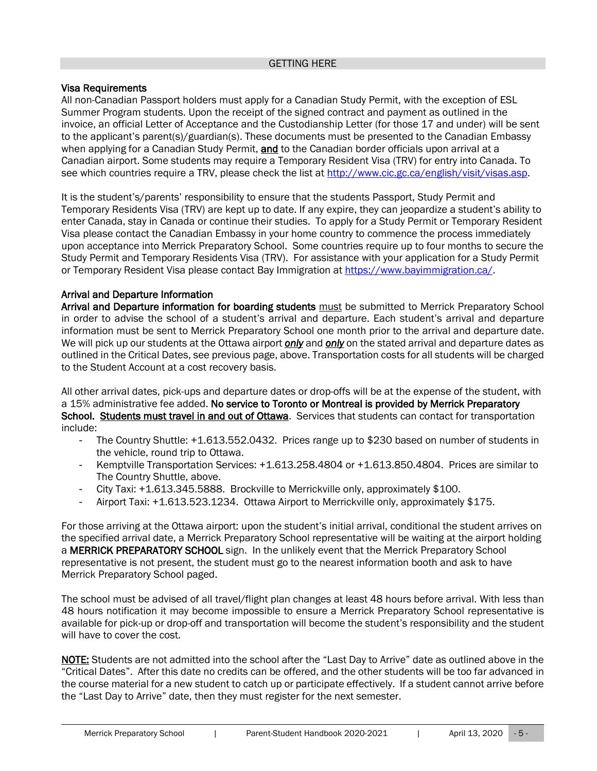#### GETTING HERE

#### <span id="page-4-1"></span><span id="page-4-0"></span>Visa Requirements

All non-Canadian Passport holders must apply for a Canadian Study Permit, with the exception of ESL Summer Program students. Upon the receipt of the signed contract and payment as outlined in the invoice, an official Letter of Acceptance and the Custodianship Letter (for those 17 and under) will be sent to the applicant's parent(s)/guardian(s). These documents must be presented to the Canadian Embassy when applying for a Canadian Study Permit, **and** to the Canadian border officials upon arrival at a Canadian airport. Some students may require a Temporary Resident Visa (TRV) for entry into Canada. To see which countries require a TRV, please check the list at [http://www.cic.gc.ca/english/visit/visas.asp.](http://www.cic.gc.ca/english/visit/visas.asp)

It is the student's/parents' responsibility to ensure that the students Passport, Study Permit and Temporary Residents Visa (TRV) are kept up to date. If any expire, they can jeopardize a student's ability to enter Canada, stay in Canada or continue their studies. To apply for a Study Permit or Temporary Resident Visa please contact the Canadian Embassy in your home country to commence the process immediately upon acceptance into Merrick Preparatory School. Some countries require up to four months to secure the Study Permit and Temporary Residents Visa (TRV). For assistance with your application for a Study Permit or Temporary Resident Visa please contact Bay Immigration at [https://www.bayimmigration.ca/.](https://www.bayimmigration.ca/)

### <span id="page-4-2"></span>Arrival and Departure Information

Arrival and Departure information for boarding students must be submitted to Merrick Preparatory School in order to advise the school of a student's arrival and departure. Each student's arrival and departure information must be sent to Merrick Preparatory School one month prior to the arrival and departure date. We will pick up our students at the Ottawa airport *only* and *only* on the stated arrival and departure dates as outlined in the Critical Dates, see previous page, above. Transportation costs for all students will be charged to the Student Account at a cost recovery basis.

All other arrival dates, pick-ups and departure dates or drop-offs will be at the expense of the student, with a 15% administrative fee added. No service to Toronto or Montreal is provided by Merrick Preparatory School. Students must travel in and out of Ottawa. Services that students can contact for transportation include:

- The Country Shuttle: +1.613.552.0432. Prices range up to \$230 based on number of students in the vehicle, round trip to Ottawa.
- Kemptville Transportation Services: +1.613.258.4804 or +1.613.850.4804. Prices are similar to The Country Shuttle, above.
- City Taxi: +1.613.345.5888. Brockville to Merrickville only, approximately \$100.
- Airport Taxi: +1.613.523.1234. Ottawa Airport to Merrickville only, approximately \$175.

For those arriving at the Ottawa airport: upon the student's initial arrival, conditional the student arrives on the specified arrival date, a Merrick Preparatory School representative will be waiting at the airport holding a **MERRICK PREPARATORY SCHOOL** sign. In the unlikely event that the Merrick Preparatory School representative is not present, the student must go to the nearest information booth and ask to have Merrick Preparatory School paged.

The school must be advised of all travel/flight plan changes at least 48 hours before arrival. With less than 48 hours notification it may become impossible to ensure a Merrick Preparatory School representative is available for pick-up or drop-off and transportation will become the student's responsibility and the student will have to cover the cost.

NOTE: Students are not admitted into the school after the "Last Day to Arrive" date as outlined above in the "Critical Dates". After this date no credits can be offered, and the other students will be too far advanced in the course material for a new student to catch up or participate effectively. If a student cannot arrive before the "Last Day to Arrive" date, then they must register for the next semester.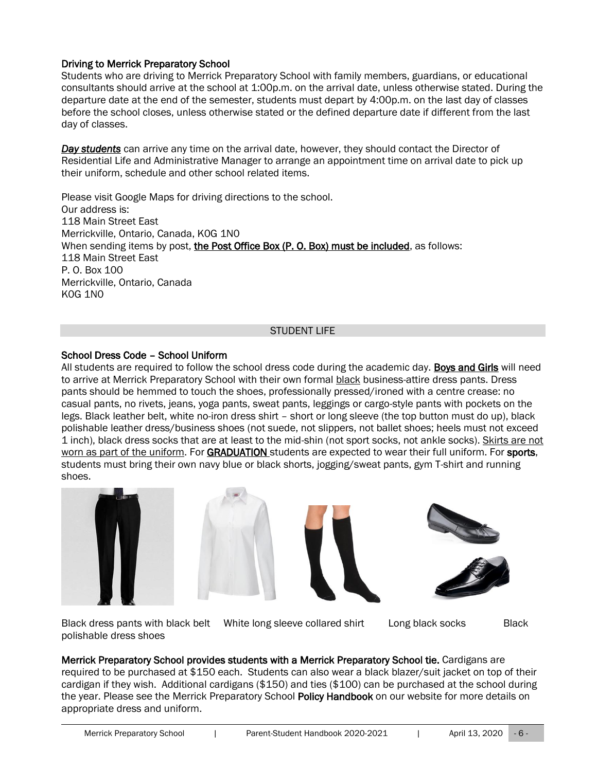# <span id="page-5-0"></span>Driving to Merrick Preparatory School

Students who are driving to Merrick Preparatory School with family members, guardians, or educational consultants should arrive at the school at 1:00p.m. on the arrival date, unless otherwise stated. During the departure date at the end of the semester, students must depart by 4:00p.m. on the last day of classes before the school closes, unless otherwise stated or the defined departure date if different from the last day of classes.

*Day students* can arrive any time on the arrival date, however, they should contact the Director of Residential Life and Administrative Manager to arrange an appointment time on arrival date to pick up their uniform, schedule and other school related items.

Please visit Google Maps for driving directions to the school. Our address is: 118 Main Street East Merrickville, Ontario, Canada, K0G 1N0 When sending items by post, the Post Office Box (P. O. Box) must be included, as follows: 118 Main Street East P. O. Box 100 Merrickville, Ontario, Canada K0G 1N0

### STUDENT LIFE

### <span id="page-5-2"></span><span id="page-5-1"></span>School Dress Code – School Uniform

All students are required to follow the school dress code during the academic day. Boys and Girls will need to arrive at Merrick Preparatory School with their own formal black business-attire dress pants. Dress pants should be hemmed to touch the shoes, professionally pressed/ironed with a centre crease: no casual pants, no rivets, jeans, yoga pants, sweat pants, leggings or cargo-style pants with pockets on the legs. Black leather belt, white no-iron dress shirt – short or long sleeve (the top button must do up), black polishable leather dress/business shoes (not suede, not slippers, not ballet shoes; heels must not exceed 1 inch), black dress socks that are at least to the mid-shin (not sport socks, not ankle socks). Skirts are not worn as part of the uniform. For GRADUATION students are expected to wear their full uniform. For sports, students must bring their own navy blue or black shorts, jogging/sweat pants, gym T-shirt and running shoes.











Black dress pants with black belt White long sleeve collared shirt Long black socks Black polishable dress shoes

Merrick Preparatory School provides students with a Merrick Preparatory School tie. Cardigans are required to be purchased at \$150 each. Students can also wear a black blazer/suit jacket on top of their cardigan if they wish. Additional cardigans (\$150) and ties (\$100) can be purchased at the school during the year. Please see the Merrick Preparatory School Policy Handbook on our website for more details on appropriate dress and uniform.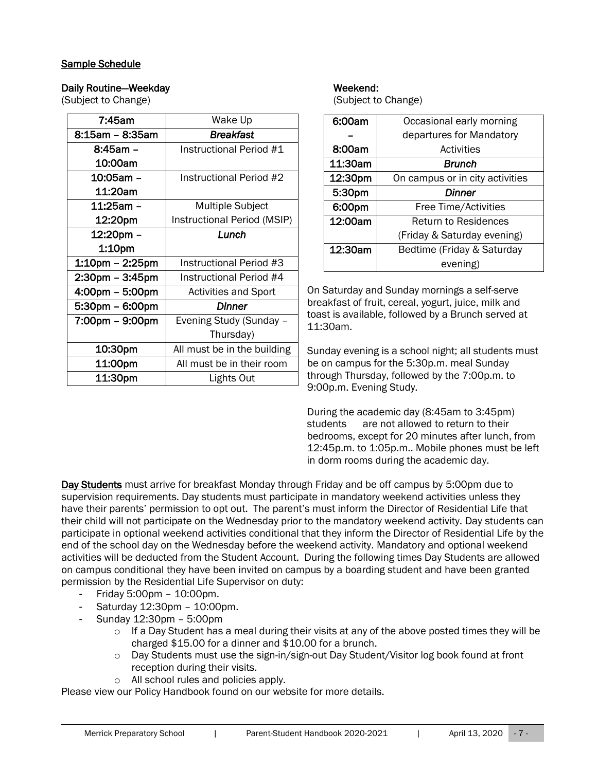# <span id="page-6-0"></span>Sample Schedule

### Daily Routine—Weekday Neekend: Neekend:

(Subject to Change) (Subject to Change)

| 7:45am                | Wake Up                     |  |
|-----------------------|-----------------------------|--|
| 8:15am – 8:35am       | Breakfast                   |  |
| 8:45am -              | Instructional Period #1     |  |
| 10:00am               |                             |  |
| 10:05am -             | Instructional Period #2     |  |
| 11:20am               |                             |  |
| 11:25am –             | <b>Multiple Subject</b>     |  |
| 12:20pm               | Instructional Period (MSIP) |  |
| 12:20pm -             | Lunch                       |  |
| 1:10pm                |                             |  |
| $1:10$ pm – $2:25$ pm | Instructional Period #3     |  |
| $2:30$ pm – $3:45$ pm | Instructional Period #4     |  |
| 4:00pm - 5:00pm       | <b>Activities and Sport</b> |  |
| 5:30pm - 6:00pm       | Dinner                      |  |
| 7:00pm - 9:00pm       | Evening Study (Sunday -     |  |
|                       | Thursday)                   |  |
| 10:30pm               | All must be in the building |  |
| 11:00pm               | All must be in their room   |  |
| 11:30pm               | Lights Out                  |  |

| 6:00am  | Occasional early morning        |
|---------|---------------------------------|
|         | departures for Mandatory        |
| 8:00am  | Activities                      |
| 11:30am | Brunch                          |
| 12:30pm | On campus or in city activities |
| 5:30pm  | Dinner                          |
| 6:00pm  | Free Time/Activities            |
| 12:00am | <b>Return to Residences</b>     |
|         | (Friday & Saturday evening)     |
| 12:30am | Bedtime (Friday & Saturday      |
|         | evening)                        |

On Saturday and Sunday mornings a self-serve breakfast of fruit, cereal, yogurt, juice, milk and toast is available, followed by a Brunch served at 11:30am.

Sunday evening is a school night; all students must be on campus for the 5:30p.m. meal Sunday through Thursday, followed by the 7:00p.m. to 9:00p.m. Evening Study.

During the academic day (8:45am to 3:45pm) students are not allowed to return to their bedrooms, except for 20 minutes after lunch, from 12:45p.m. to 1:05p.m.. Mobile phones must be left in dorm rooms during the academic day.

Day Students must arrive for breakfast Monday through Friday and be off campus by 5:00pm due to supervision requirements. Day students must participate in mandatory weekend activities unless they have their parents' permission to opt out. The parent's must inform the Director of Residential Life that their child will not participate on the Wednesday prior to the mandatory weekend activity. Day students can participate in optional weekend activities conditional that they inform the Director of Residential Life by the end of the school day on the Wednesday before the weekend activity. Mandatory and optional weekend activities will be deducted from the Student Account. During the following times Day Students are allowed on campus conditional they have been invited on campus by a boarding student and have been granted permission by the Residential Life Supervisor on duty:

- Friday 5:00pm 10:00pm.
- Saturday 12:30pm 10:00pm.
- Sunday 12:30pm 5:00pm
	- $\circ$  If a Day Student has a meal during their visits at any of the above posted times they will be charged \$15.00 for a dinner and \$10.00 for a brunch.
	- $\circ$  Day Students must use the sign-in/sign-out Day Student/Visitor log book found at front reception during their visits.
	- o All school rules and policies apply.

Please view our Policy Handbook found on our website for more details.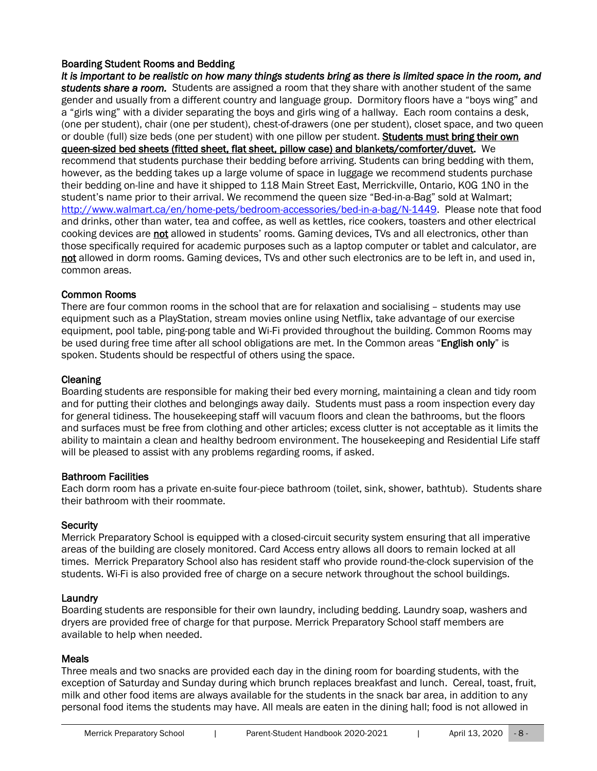# <span id="page-7-0"></span>Boarding Student Rooms and Bedding

*It is important to be realistic on how many things students bring as there is limited space in the room, and students share a room.* Students are assigned a room that they share with another student of the same gender and usually from a different country and language group. Dormitory floors have a "boys wing" and a "girls wing" with a divider separating the boys and girls wing of a hallway. Each room contains a desk, (one per student), chair (one per student), chest-of-drawers (one per student), closet space, and two queen or double (full) size beds (one per student) with one pillow per student. Students must bring their own queen-sized bed sheets (fitted sheet, flat sheet, pillow case) and blankets/comforter/duvet. We recommend that students purchase their bedding before arriving. Students can bring bedding with them, however, as the bedding takes up a large volume of space in luggage we recommend students purchase their bedding on-line and have it shipped to 118 Main Street East, Merrickville, Ontario, K0G 1N0 in the student's name prior to their arrival. We recommend the queen size "Bed-in-a-Bag" sold at Walmart; [http://www.walmart.ca/en/home-pets/bedroom-accessories/bed-in-a-bag/N-1449.](http://www.walmart.ca/en/home-pets/bedroom-accessories/bed-in-a-bag/N-1449) Please note that food and drinks, other than water, tea and coffee, as well as kettles, rice cookers, toasters and other electrical cooking devices are not allowed in students' rooms. Gaming devices, TVs and all electronics, other than those specifically required for academic purposes such as a laptop computer or tablet and calculator, are not allowed in dorm rooms. Gaming devices, TVs and other such electronics are to be left in, and used in, common areas.

### <span id="page-7-1"></span>Common Rooms

There are four common rooms in the school that are for relaxation and socialising – students may use equipment such as a PlayStation, stream movies online using Netflix, take advantage of our exercise equipment, pool table, ping-pong table and Wi-Fi provided throughout the building. Common Rooms may be used during free time after all school obligations are met. In the Common areas "English only" is spoken. Students should be respectful of others using the space.

#### <span id="page-7-2"></span>**Cleaning**

Boarding students are responsible for making their bed every morning, maintaining a clean and tidy room and for putting their clothes and belongings away daily. Students must pass a room inspection every day for general tidiness. The housekeeping staff will vacuum floors and clean the bathrooms, but the floors and surfaces must be free from clothing and other articles; excess clutter is not acceptable as it limits the ability to maintain a clean and healthy bedroom environment. The housekeeping and Residential Life staff will be pleased to assist with any problems regarding rooms, if asked.

# <span id="page-7-3"></span>Bathroom Facilities

Each dorm room has a private en-suite four-piece bathroom (toilet, sink, shower, bathtub). Students share their bathroom with their roommate.

#### <span id="page-7-4"></span>**Security**

Merrick Preparatory School is equipped with a closed-circuit security system ensuring that all imperative areas of the building are closely monitored. Card Access entry allows all doors to remain locked at all times. Merrick Preparatory School also has resident staff who provide round-the-clock supervision of the students. Wi-Fi is also provided free of charge on a secure network throughout the school buildings.

# <span id="page-7-5"></span>**Laundry**

Boarding students are responsible for their own laundry, including bedding. Laundry soap, washers and dryers are provided free of charge for that purpose. Merrick Preparatory School staff members are available to help when needed.

# <span id="page-7-6"></span>**Meals**

Three meals and two snacks are provided each day in the dining room for boarding students, with the exception of Saturday and Sunday during which brunch replaces breakfast and lunch. Cereal, toast, fruit, milk and other food items are always available for the students in the snack bar area, in addition to any personal food items the students may have. All meals are eaten in the dining hall; food is not allowed in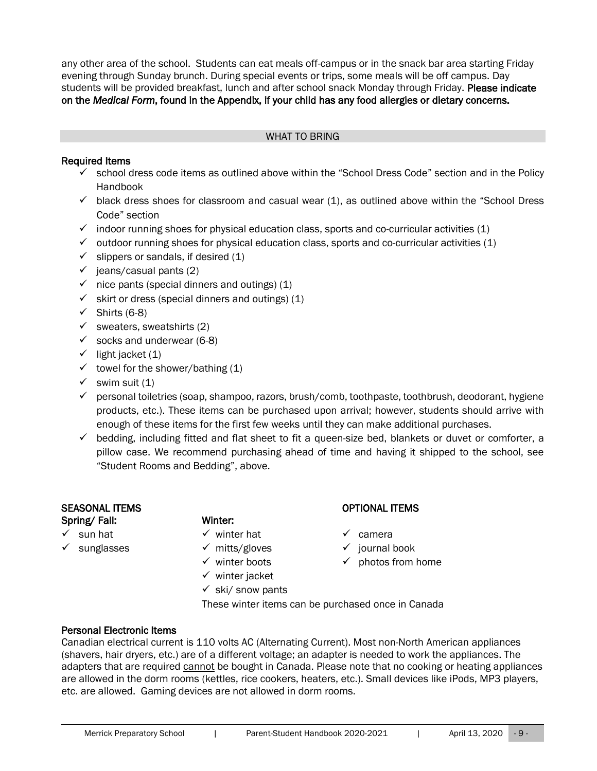any other area of the school. Students can eat meals off-campus or in the snack bar area starting Friday evening through Sunday brunch. During special events or trips, some meals will be off campus. Day students will be provided breakfast, lunch and after school snack Monday through Friday. Please indicate on the *Medical Form*, found in the Appendix, if your child has any food allergies or dietary concerns.

#### WHAT TO BRING

# <span id="page-8-1"></span><span id="page-8-0"></span>Required Items

- $\checkmark$  school dress code items as outlined above within the "School Dress Code" section and in the Policy Handbook
- $\checkmark$  black dress shoes for classroom and casual wear (1), as outlined above within the "School Dress Code" section
- $\checkmark$  indoor running shoes for physical education class, sports and co-curricular activities (1)
- $\checkmark$  outdoor running shoes for physical education class, sports and co-curricular activities (1)
- $\checkmark$  slippers or sandals, if desired (1)
- $\checkmark$  jeans/casual pants (2)
- $\checkmark$  nice pants (special dinners and outings) (1)
- $\checkmark$  skirt or dress (special dinners and outings) (1)
- $\checkmark$  Shirts (6-8)
- $\checkmark$  sweaters, sweatshirts (2)
- $\checkmark$  socks and underwear (6-8)
- $\checkmark$  light jacket (1)
- $\checkmark$  towel for the shower/bathing (1)
- $\checkmark$  swim suit (1)
- ✓ personal toiletries (soap, shampoo, razors, brush/comb, toothpaste, toothbrush, deodorant, hygiene products, etc.). These items can be purchased upon arrival; however, students should arrive with enough of these items for the first few weeks until they can make additional purchases.
- $\checkmark$  bedding, including fitted and flat sheet to fit a queen-size bed, blankets or duvet or comforter, a pillow case. We recommend purchasing ahead of time and having it shipped to the school, see "Student Rooms and Bedding", above.

#### SEASONAL ITEMS OPTIONAL ITEMS Spring/ Fall: Winter:

- 
- 
- ✓ sun hat ✓ winter hat ✓ camera
	-
	-
	- $\checkmark$  winter jacket
	- $\checkmark$  ski/ snow pants

- 
- ✓ sunglasses ✓ mitts/gloves ✓ journal book
	- ✓ winter boots ✓ photos from home
	- These winter items can be purchased once in Canada

# <span id="page-8-2"></span>Personal Electronic Items

Canadian electrical current is 110 volts AC (Alternating Current). Most non-North American appliances (shavers, hair dryers, etc.) are of a different voltage; an adapter is needed to work the appliances. The adapters that are required cannot be bought in Canada. Please note that no cooking or heating appliances are allowed in the dorm rooms (kettles, rice cookers, heaters, etc.). Small devices like iPods, MP3 players, etc. are allowed. Gaming devices are not allowed in dorm rooms.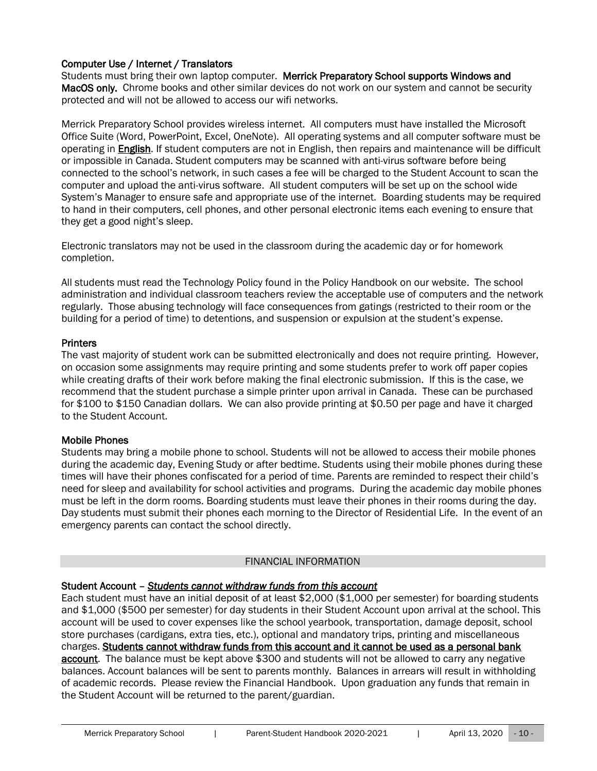# <span id="page-9-0"></span>Computer Use / Internet / Translators

Students must bring their own laptop computer. Merrick Preparatory School supports Windows and MacOS only. Chrome books and other similar devices do not work on our system and cannot be security protected and will not be allowed to access our wifi networks.

Merrick Preparatory School provides wireless internet. All computers must have installed the Microsoft Office Suite (Word, PowerPoint, Excel, OneNote). All operating systems and all computer software must be operating in **English**. If student computers are not in English, then repairs and maintenance will be difficult or impossible in Canada. Student computers may be scanned with anti-virus software before being connected to the school's network, in such cases a fee will be charged to the Student Account to scan the computer and upload the anti-virus software. All student computers will be set up on the school wide System's Manager to ensure safe and appropriate use of the internet. Boarding students may be required to hand in their computers, cell phones, and other personal electronic items each evening to ensure that they get a good night's sleep.

Electronic translators may not be used in the classroom during the academic day or for homework completion.

All students must read the Technology Policy found in the Policy Handbook on our website. The school administration and individual classroom teachers review the acceptable use of computers and the network regularly. Those abusing technology will face consequences from gatings (restricted to their room or the building for a period of time) to detentions, and suspension or expulsion at the student's expense.

### <span id="page-9-1"></span>**Printers**

The vast majority of student work can be submitted electronically and does not require printing. However, on occasion some assignments may require printing and some students prefer to work off paper copies while creating drafts of their work before making the final electronic submission. If this is the case, we recommend that the student purchase a simple printer upon arrival in Canada. These can be purchased for \$100 to \$150 Canadian dollars. We can also provide printing at \$0.50 per page and have it charged to the Student Account.

### <span id="page-9-2"></span>Mobile Phones

Students may bring a mobile phone to school. Students will not be allowed to access their mobile phones during the academic day, Evening Study or after bedtime. Students using their mobile phones during these times will have their phones confiscated for a period of time. Parents are reminded to respect their child's need for sleep and availability for school activities and programs. During the academic day mobile phones must be left in the dorm rooms. Boarding students must leave their phones in their rooms during the day. Day students must submit their phones each morning to the Director of Residential Life. In the event of an emergency parents can contact the school directly.

#### FINANCIAL INFORMATION

# <span id="page-9-4"></span><span id="page-9-3"></span>Student Account – *Students cannot withdraw funds from this account*

Each student must have an initial deposit of at least \$2,000 (\$1,000 per semester) for boarding students and \$1,000 (\$500 per semester) for day students in their Student Account upon arrival at the school. This account will be used to cover expenses like the school yearbook, transportation, damage deposit, school store purchases (cardigans, extra ties, etc.), optional and mandatory trips, printing and miscellaneous charges. Students cannot withdraw funds from this account and it cannot be used as a personal bank account. The balance must be kept above \$300 and students will not be allowed to carry any negative balances. Account balances will be sent to parents monthly. Balances in arrears will result in withholding of academic records. Please review the Financial Handbook. Upon graduation any funds that remain in the Student Account will be returned to the parent/guardian.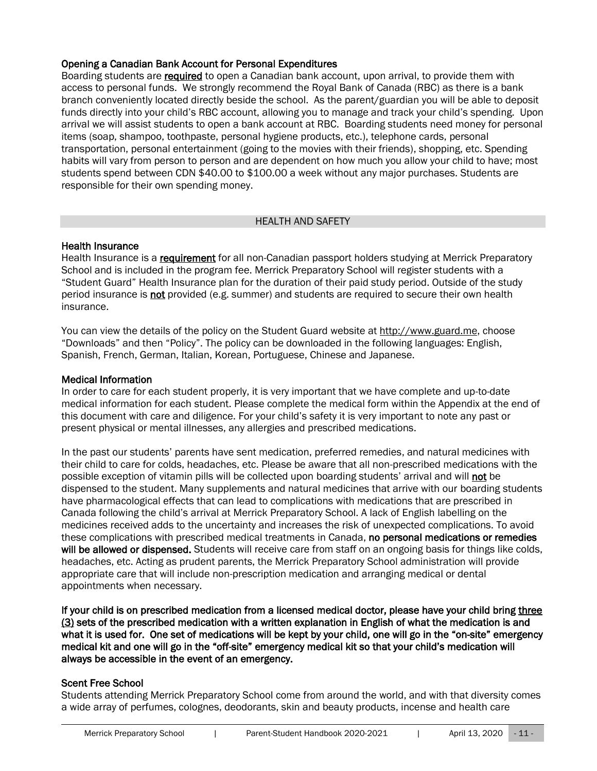# <span id="page-10-0"></span>Opening a Canadian Bank Account for Personal Expenditures

Boarding students are required to open a Canadian bank account, upon arrival, to provide them with access to personal funds. We strongly recommend the Royal Bank of Canada (RBC) as there is a bank branch conveniently located directly beside the school. As the parent/guardian you will be able to deposit funds directly into your child's RBC account, allowing you to manage and track your child's spending. Upon arrival we will assist students to open a bank account at RBC. Boarding students need money for personal items (soap, shampoo, toothpaste, personal hygiene products, etc.), telephone cards, personal transportation, personal entertainment (going to the movies with their friends), shopping, etc. Spending habits will vary from person to person and are dependent on how much you allow your child to have; most students spend between CDN \$40.00 to \$100.00 a week without any major purchases. Students are responsible for their own spending money.

#### HEALTH AND SAFFTY

#### <span id="page-10-2"></span><span id="page-10-1"></span>Health Insurance

Health Insurance is a requirement for all non-Canadian passport holders studying at Merrick Preparatory School and is included in the program fee. Merrick Preparatory School will register students with a "Student Guard" Health Insurance plan for the duration of their paid study period. Outside of the study period insurance is not provided (e.g. summer) and students are required to secure their own health insurance.

You can view the details of the policy on the Student Guard website at [http://www.guard.me,](http://www.guard.me/) choose "Downloads" and then "Policy". The policy can be downloaded in the following languages: English, Spanish, French, German, Italian, Korean, Portuguese, Chinese and Japanese.

### <span id="page-10-3"></span>Medical Information

In order to care for each student properly, it is very important that we have complete and up-to-date medical information for each student. Please complete the medical form within the Appendix at the end of this document with care and diligence. For your child's safety it is very important to note any past or present physical or mental illnesses, any allergies and prescribed medications.

In the past our students' parents have sent medication, preferred remedies, and natural medicines with their child to care for colds, headaches, etc. Please be aware that all non-prescribed medications with the possible exception of vitamin pills will be collected upon boarding students' arrival and will not be dispensed to the student. Many supplements and natural medicines that arrive with our boarding students have pharmacological effects that can lead to complications with medications that are prescribed in Canada following the child's arrival at Merrick Preparatory School. A lack of English labelling on the medicines received adds to the uncertainty and increases the risk of unexpected complications. To avoid these complications with prescribed medical treatments in Canada, no personal medications or remedies will be allowed or dispensed. Students will receive care from staff on an ongoing basis for things like colds, headaches, etc. Acting as prudent parents, the Merrick Preparatory School administration will provide appropriate care that will include non-prescription medication and arranging medical or dental appointments when necessary.

If your child is on prescribed medication from a licensed medical doctor, please have your child bring three (3) sets of the prescribed medication with a written explanation in English of what the medication is and what it is used for. One set of medications will be kept by your child, one will go in the "on-site" emergency medical kit and one will go in the "off-site" emergency medical kit so that your child's medication will always be accessible in the event of an emergency.

# <span id="page-10-4"></span>Scent Free School

Students attending Merrick Preparatory School come from around the world, and with that diversity comes a wide array of perfumes, colognes, deodorants, skin and beauty products, incense and health care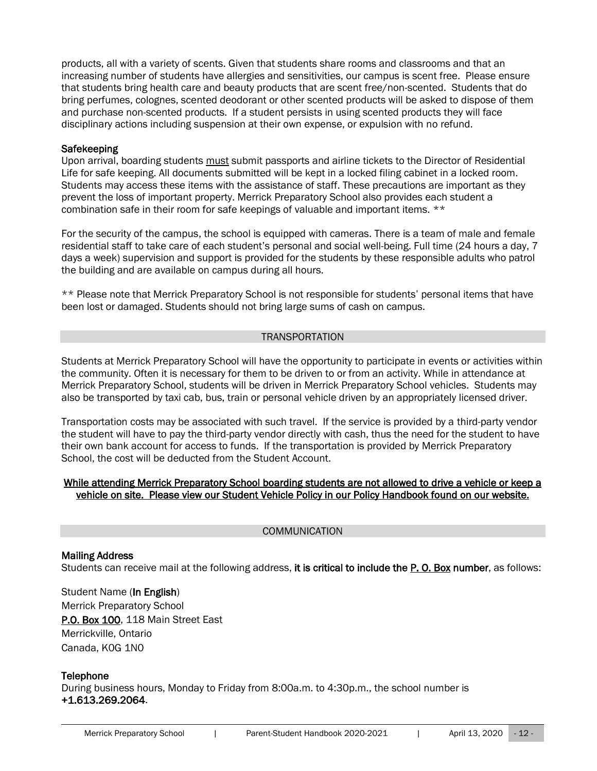products, all with a variety of scents. Given that students share rooms and classrooms and that an increasing number of students have allergies and sensitivities, our campus is scent free. Please ensure that students bring health care and beauty products that are scent free/non-scented. Students that do bring perfumes, colognes, scented deodorant or other scented products will be asked to dispose of them and purchase non-scented products. If a student persists in using scented products they will face disciplinary actions including suspension at their own expense, or expulsion with no refund.

#### <span id="page-11-0"></span>**Safekeeping**

Upon arrival, boarding students must submit passports and airline tickets to the Director of Residential Life for safe keeping. All documents submitted will be kept in a locked filing cabinet in a locked room. Students may access these items with the assistance of staff. These precautions are important as they prevent the loss of important property. Merrick Preparatory School also provides each student a combination safe in their room for safe keepings of valuable and important items. \*\*

For the security of the campus, the school is equipped with cameras. There is a team of male and female residential staff to take care of each student's personal and social well-being. Full time (24 hours a day, 7 days a week) supervision and support is provided for the students by these responsible adults who patrol the building and are available on campus during all hours.

\*\* Please note that Merrick Preparatory School is not responsible for students' personal items that have been lost or damaged. Students should not bring large sums of cash on campus.

#### TRANSPORTATION

<span id="page-11-1"></span>Students at Merrick Preparatory School will have the opportunity to participate in events or activities within the community. Often it is necessary for them to be driven to or from an activity. While in attendance at Merrick Preparatory School, students will be driven in Merrick Preparatory School vehicles. Students may also be transported by taxi cab, bus, train or personal vehicle driven by an appropriately licensed driver.

Transportation costs may be associated with such travel. If the service is provided by a third-party vendor the student will have to pay the third-party vendor directly with cash, thus the need for the student to have their own bank account for access to funds. If the transportation is provided by Merrick Preparatory School, the cost will be deducted from the Student Account.

### While attending Merrick Preparatory School boarding students are not allowed to drive a vehicle or keep a vehicle on site. Please view our Student Vehicle Policy in our Policy Handbook found on our website.

#### COMMUNICATION

### <span id="page-11-3"></span><span id="page-11-2"></span>Mailing Address Students can receive mail at the following address, it is critical to include the P. O. Box number, as follows:

Student Name (In English) Merrick Preparatory School P.O. Box 100, 118 Main Street East Merrickville, Ontario Canada, K0G 1N0

#### <span id="page-11-4"></span>**Telephone**

During business hours, Monday to Friday from 8:00a.m. to 4:30p.m., the school number is +1.613.269.2064.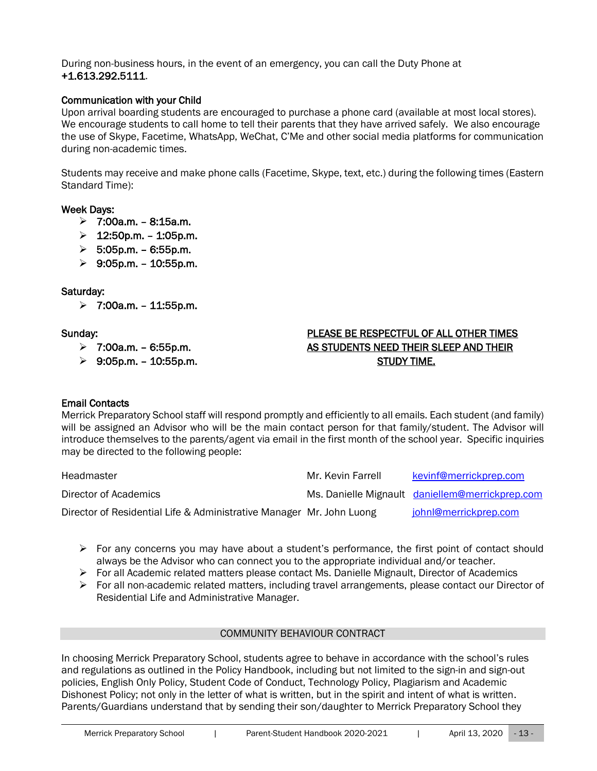During non-business hours, in the event of an emergency, you can call the Duty Phone at +1.613.292.5111.

#### <span id="page-12-0"></span>Communication with your Child

Upon arrival boarding students are encouraged to purchase a phone card (available at most local stores). We encourage students to call home to tell their parents that they have arrived safely. We also encourage the use of Skype, Facetime, WhatsApp, WeChat, C'Me and other social media platforms for communication during non-academic times.

Students may receive and make phone calls (Facetime, Skype, text, etc.) during the following times (Eastern Standard Time):

### Week Days:

- $> 7:00a.m. 8:15a.m.$
- $> 12:50p.m. 1:05p.m.$
- $> 5:05p.m. 6:55p.m.$
- $> 9:05$ p.m. 10:55p.m.

### Saturday:

 $> 7:00$ a.m. - 11:55p.m.

# Sunday: PLEASE BE RESPECTFUL OF ALL OTHER TIMES ➢ 7:00a.m. – 6:55p.m. AS STUDENTS NEED THEIR SLEEP AND THEIR ➢ 9:05p.m. – 10:55p.m. STUDY TIME.

#### <span id="page-12-1"></span>Email Contacts

Merrick Preparatory School staff will respond promptly and efficiently to all emails. Each student (and family) will be assigned an Advisor who will be the main contact person for that family/student. The Advisor will introduce themselves to the parents/agent via email in the first month of the school year. Specific inquiries may be directed to the following people:

| Headmaster                                                           | Mr. Kevin Farrell | kevinf@merrickprep.com                          |
|----------------------------------------------------------------------|-------------------|-------------------------------------------------|
| Director of Academics                                                |                   | Ms. Danielle Mignault daniellem@merrickprep.com |
| Director of Residential Life & Administrative Manager Mr. John Luong |                   | johnl@merrickprep.com                           |

- $\triangleright$  For any concerns you may have about a student's performance, the first point of contact should always be the Advisor who can connect you to the appropriate individual and/or teacher.
- $\triangleright$  For all Academic related matters please contact Ms. Danielle Mignault, Director of Academics
- $\triangleright$  For all non-academic related matters, including travel arrangements, please contact our Director of Residential Life and Administrative Manager.

#### COMMUNITY BEHAVIOUR CONTRACT

<span id="page-12-2"></span>In choosing Merrick Preparatory School, students agree to behave in accordance with the school's rules and regulations as outlined in the Policy Handbook, including but not limited to the sign-in and sign-out policies, English Only Policy, Student Code of Conduct, Technology Policy, Plagiarism and Academic Dishonest Policy; not only in the letter of what is written, but in the spirit and intent of what is written. Parents/Guardians understand that by sending their son/daughter to Merrick Preparatory School they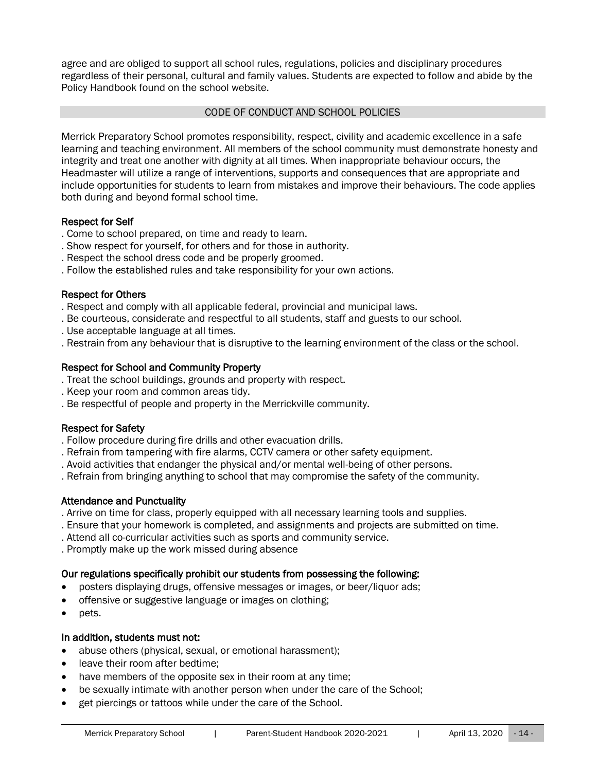agree and are obliged to support all school rules, regulations, policies and disciplinary procedures regardless of their personal, cultural and family values. Students are expected to follow and abide by the Policy Handbook found on the school website.

# CODE OF CONDUCT AND SCHOOL POLICIES

<span id="page-13-0"></span>Merrick Preparatory School promotes responsibility, respect, civility and academic excellence in a safe learning and teaching environment. All members of the school community must demonstrate honesty and integrity and treat one another with dignity at all times. When inappropriate behaviour occurs, the Headmaster will utilize a range of interventions, supports and consequences that are appropriate and include opportunities for students to learn from mistakes and improve their behaviours. The code applies both during and beyond formal school time.

### Respect for Self

- . Come to school prepared, on time and ready to learn.
- . Show respect for yourself, for others and for those in authority.
- . Respect the school dress code and be properly groomed.
- . Follow the established rules and take responsibility for your own actions.

### Respect for Others

- . Respect and comply with all applicable federal, provincial and municipal laws.
- . Be courteous, considerate and respectful to all students, staff and guests to our school.
- . Use acceptable language at all times.
- . Restrain from any behaviour that is disruptive to the learning environment of the class or the school.

# Respect for School and Community Property

- . Treat the school buildings, grounds and property with respect.
- . Keep your room and common areas tidy.
- . Be respectful of people and property in the Merrickville community.

# Respect for Safety

- . Follow procedure during fire drills and other evacuation drills.
- . Refrain from tampering with fire alarms, CCTV camera or other safety equipment.
- . Avoid activities that endanger the physical and/or mental well-being of other persons.
- . Refrain from bringing anything to school that may compromise the safety of the community.

# Attendance and Punctuality

- . Arrive on time for class, properly equipped with all necessary learning tools and supplies.
- . Ensure that your homework is completed, and assignments and projects are submitted on time.
- . Attend all co-curricular activities such as sports and community service.
- . Promptly make up the work missed during absence

# Our regulations specifically prohibit our students from possessing the following:

- posters displaying drugs, offensive messages or images, or beer/liquor ads;
- offensive or suggestive language or images on clothing;
- pets.

# In addition, students must not:

- abuse others (physical, sexual, or emotional harassment);
- leave their room after bedtime;
- have members of the opposite sex in their room at any time;
- be sexually intimate with another person when under the care of the School;
- get piercings or tattoos while under the care of the School.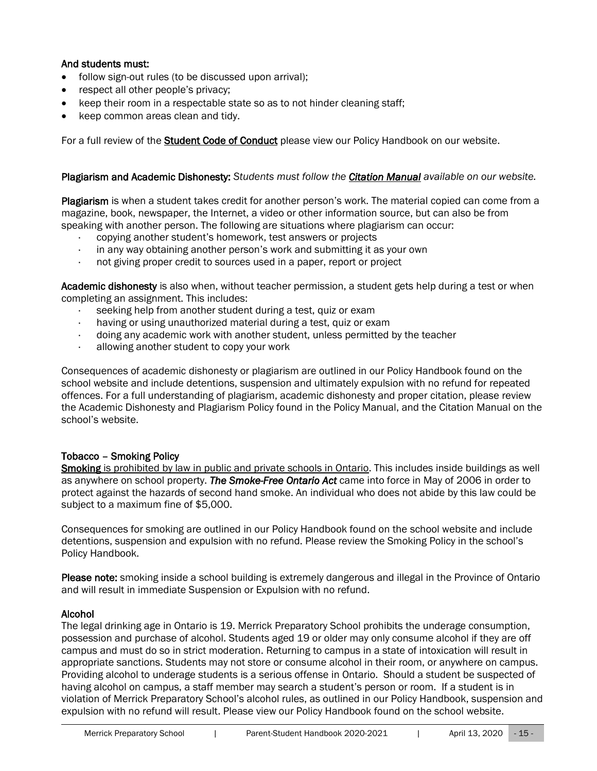# And students must:

- follow sign-out rules (to be discussed upon arrival):
- respect all other people's privacy;
- keep their room in a respectable state so as to not hinder cleaning staff;
- keep common areas clean and tidy.

For a full review of the Student Code of Conduct please view our Policy Handbook on our website.

### Plagiarism and Academic Dishonesty: *Students must follow the Citation Manual available on our website.*

Plagiarism is when a student takes credit for another person's work. The material copied can come from a magazine, book, newspaper, the Internet, a video or other information source, but can also be from speaking with another person. The following are situations where plagiarism can occur:

- · copying another student's homework, test answers or projects
- in any way obtaining another person's work and submitting it as your own
- · not giving proper credit to sources used in a paper, report or project

Academic dishonesty is also when, without teacher permission, a student gets help during a test or when completing an assignment. This includes:

- · seeking help from another student during a test, quiz or exam
- having or using unauthorized material during a test, quiz or exam
- · doing any academic work with another student, unless permitted by the teacher
- · allowing another student to copy your work

Consequences of academic dishonesty or plagiarism are outlined in our Policy Handbook found on the school website and include detentions, suspension and ultimately expulsion with no refund for repeated offences. For a full understanding of plagiarism, academic dishonesty and proper citation, please review the Academic Dishonesty and Plagiarism Policy found in the Policy Manual, and the Citation Manual on the school's website.

# Tobacco – Smoking Policy

Smoking is prohibited by law in public and private schools in Ontario. This includes inside buildings as well as anywhere on school property. *The Smoke-Free Ontario Act* came into force in May of 2006 in order to protect against the hazards of second hand smoke. An individual who does not abide by this law could be subject to a maximum fine of \$5,000.

Consequences for smoking are outlined in our Policy Handbook found on the school website and include detentions, suspension and expulsion with no refund. Please review the Smoking Policy in the school's Policy Handbook.

Please note: smoking inside a school building is extremely dangerous and illegal in the Province of Ontario and will result in immediate Suspension or Expulsion with no refund.

#### Alcohol

The legal drinking age in Ontario is 19. Merrick Preparatory School prohibits the underage consumption, possession and purchase of alcohol. Students aged 19 or older may only consume alcohol if they are off campus and must do so in strict moderation. Returning to campus in a state of intoxication will result in appropriate sanctions. Students may not store or consume alcohol in their room, or anywhere on campus. Providing alcohol to underage students is a serious offense in Ontario. Should a student be suspected of having alcohol on campus, a staff member may search a student's person or room. If a student is in violation of Merrick Preparatory School's alcohol rules, as outlined in our Policy Handbook, suspension and expulsion with no refund will result. Please view our Policy Handbook found on the school website.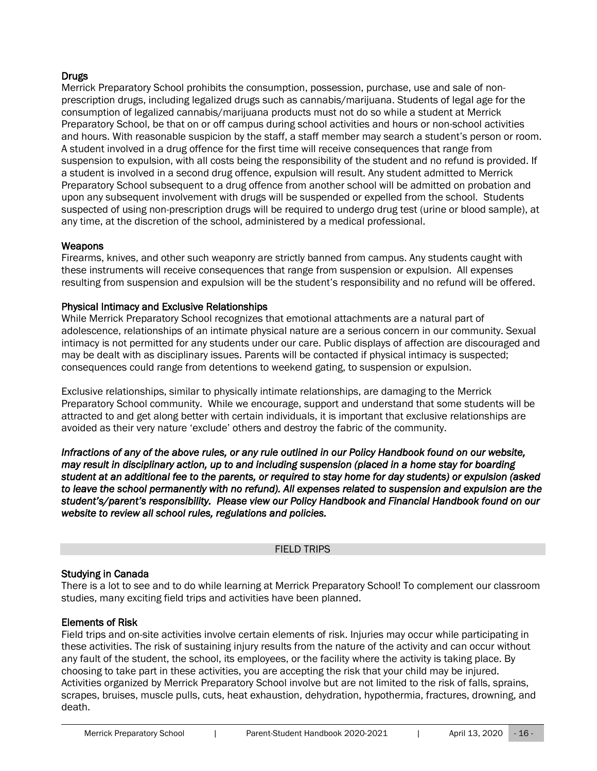# Drugs

Merrick Preparatory School prohibits the consumption, possession, purchase, use and sale of nonprescription drugs, including legalized drugs such as cannabis/marijuana. Students of legal age for the consumption of legalized cannabis/marijuana products must not do so while a student at Merrick Preparatory School, be that on or off campus during school activities and hours or non-school activities and hours. With reasonable suspicion by the staff, a staff member may search a student's person or room. A student involved in a drug offence for the first time will receive consequences that range from suspension to expulsion, with all costs being the responsibility of the student and no refund is provided. If a student is involved in a second drug offence, expulsion will result. Any student admitted to Merrick Preparatory School subsequent to a drug offence from another school will be admitted on probation and upon any subsequent involvement with drugs will be suspended or expelled from the school. Students suspected of using non-prescription drugs will be required to undergo drug test (urine or blood sample), at any time, at the discretion of the school, administered by a medical professional.

### **Weapons**

Firearms, knives, and other such weaponry are strictly banned from campus. Any students caught with these instruments will receive consequences that range from suspension or expulsion. All expenses resulting from suspension and expulsion will be the student's responsibility and no refund will be offered.

### Physical Intimacy and Exclusive Relationships

While Merrick Preparatory School recognizes that emotional attachments are a natural part of adolescence, relationships of an intimate physical nature are a serious concern in our community. Sexual intimacy is not permitted for any students under our care. Public displays of affection are discouraged and may be dealt with as disciplinary issues. Parents will be contacted if physical intimacy is suspected; consequences could range from detentions to weekend gating, to suspension or expulsion.

Exclusive relationships, similar to physically intimate relationships, are damaging to the Merrick Preparatory School community. While we encourage, support and understand that some students will be attracted to and get along better with certain individuals, it is important that exclusive relationships are avoided as their very nature 'exclude' others and destroy the fabric of the community.

*Infractions of any of the above rules, or any rule outlined in our Policy Handbook found on our website, may result in disciplinary action, up to and including suspension (placed in a home stay for boarding student at an additional fee to the parents, or required to stay home for day students) or expulsion (asked to leave the school permanently with no refund). All expenses related to suspension and expulsion are the student's/parent's responsibility. Please view our Policy Handbook and Financial Handbook found on our website to review all school rules, regulations and policies.* 

#### FIELD TRIPS

# <span id="page-15-0"></span>Studying in Canada

There is a lot to see and to do while learning at Merrick Preparatory School! To complement our classroom studies, many exciting field trips and activities have been planned.

#### Elements of Risk

Field trips and on-site activities involve certain elements of risk. Injuries may occur while participating in these activities. The risk of sustaining injury results from the nature of the activity and can occur without any fault of the student, the school, its employees, or the facility where the activity is taking place. By choosing to take part in these activities, you are accepting the risk that your child may be injured. Activities organized by Merrick Preparatory School involve but are not limited to the risk of falls, sprains, scrapes, bruises, muscle pulls, cuts, heat exhaustion, dehydration, hypothermia, fractures, drowning, and death.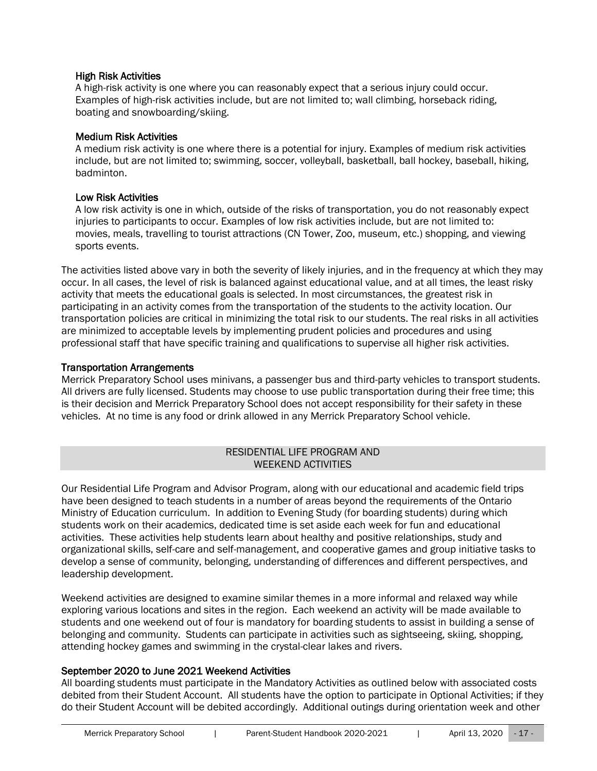# High Risk Activities

A high-risk activity is one where you can reasonably expect that a serious injury could occur. Examples of high-risk activities include, but are not limited to; wall climbing, horseback riding, boating and snowboarding/skiing.

### Medium Risk Activities

A medium risk activity is one where there is a potential for injury. Examples of medium risk activities include, but are not limited to; swimming, soccer, volleyball, basketball, ball hockey, baseball, hiking, badminton.

### Low Risk Activities

A low risk activity is one in which, outside of the risks of transportation, you do not reasonably expect injuries to participants to occur. Examples of low risk activities include, but are not limited to: movies, meals, travelling to tourist attractions (CN Tower, Zoo, museum, etc.) shopping, and viewing sports events.

The activities listed above vary in both the severity of likely injuries, and in the frequency at which they may occur. In all cases, the level of risk is balanced against educational value, and at all times, the least risky activity that meets the educational goals is selected. In most circumstances, the greatest risk in participating in an activity comes from the transportation of the students to the activity location. Our transportation policies are critical in minimizing the total risk to our students. The real risks in all activities are minimized to acceptable levels by implementing prudent policies and procedures and using professional staff that have specific training and qualifications to supervise all higher risk activities.

# Transportation Arrangements

Merrick Preparatory School uses minivans, a passenger bus and third-party vehicles to transport students. All drivers are fully licensed. Students may choose to use public transportation during their free time; this is their decision and Merrick Preparatory School does not accept responsibility for their safety in these vehicles. At no time is any food or drink allowed in any Merrick Preparatory School vehicle.

# RESIDENTIAL LIFE PROGRAM AND WEEKEND ACTIVITIES

<span id="page-16-1"></span><span id="page-16-0"></span>Our Residential Life Program and Advisor Program, along with our educational and academic field trips have been designed to teach students in a number of areas beyond the requirements of the Ontario Ministry of Education curriculum. In addition to Evening Study (for boarding students) during which students work on their academics, dedicated time is set aside each week for fun and educational activities. These activities help students learn about healthy and positive relationships, study and organizational skills, self-care and self-management, and cooperative games and group initiative tasks to develop a sense of community, belonging, understanding of differences and different perspectives, and leadership development.

Weekend activities are designed to examine similar themes in a more informal and relaxed way while exploring various locations and sites in the region. Each weekend an activity will be made available to students and one weekend out of four is mandatory for boarding students to assist in building a sense of belonging and community. Students can participate in activities such as sightseeing, skiing, shopping, attending hockey games and swimming in the crystal-clear lakes and rivers.

# September 2020 to June 2021 Weekend Activities

All boarding students must participate in the Mandatory Activities as outlined below with associated costs debited from their Student Account. All students have the option to participate in Optional Activities; if they do their Student Account will be debited accordingly. Additional outings during orientation week and other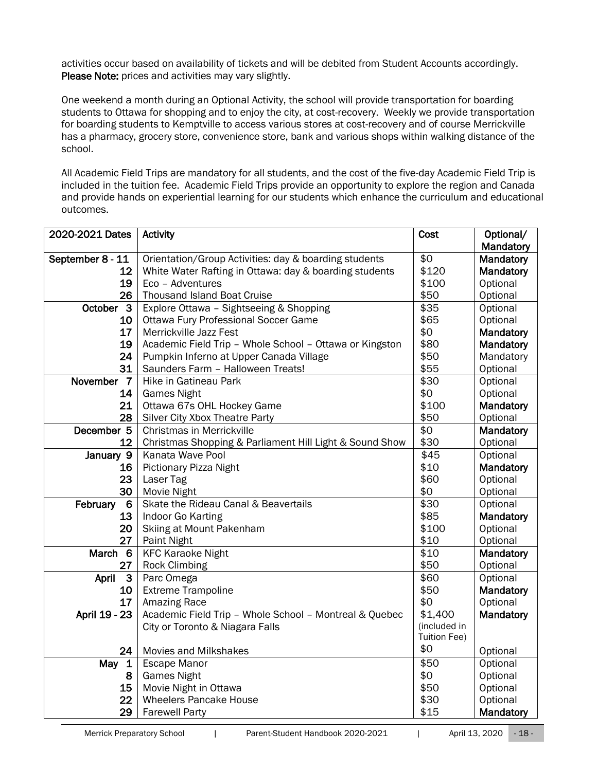activities occur based on availability of tickets and will be debited from Student Accounts accordingly. Please Note: prices and activities may vary slightly.

One weekend a month during an Optional Activity, the school will provide transportation for boarding students to Ottawa for shopping and to enjoy the city, at cost-recovery. Weekly we provide transportation for boarding students to Kemptville to access various stores at cost-recovery and of course Merrickville has a pharmacy, grocery store, convenience store, bank and various shops within walking distance of the school.

All Academic Field Trips are mandatory for all students, and the cost of the five-day Academic Field Trip is included in the tuition fee. Academic Field Trips provide an opportunity to explore the region and Canada and provide hands on experiential learning for our students which enhance the curriculum and educational outcomes.

| 2020-2021 Dates             | <b>Activity</b>                                         |              | Optional/ |
|-----------------------------|---------------------------------------------------------|--------------|-----------|
|                             |                                                         |              | Mandatory |
| September 8 - 11            | Orientation/Group Activities: day & boarding students   | \$0          | Mandatory |
| 12                          | White Water Rafting in Ottawa: day & boarding students  | \$120        | Mandatory |
| 19                          | Eco - Adventures                                        | \$100        | Optional  |
| 26                          | <b>Thousand Island Boat Cruise</b>                      | \$50         | Optional  |
| October 3                   | Explore Ottawa - Sightseeing & Shopping                 | \$35         | Optional  |
| 10                          | <b>Ottawa Fury Professional Soccer Game</b>             | \$65         | Optional  |
| 17                          | Merrickville Jazz Fest                                  | \$0          | Mandatory |
| 19                          | Academic Field Trip - Whole School - Ottawa or Kingston | \$80         | Mandatory |
| 24                          | Pumpkin Inferno at Upper Canada Village                 | \$50         | Mandatory |
| 31                          | Saunders Farm - Halloween Treats!                       | \$55         | Optional  |
| November 7                  | Hike in Gatineau Park                                   | \$30         | Optional  |
| 14                          | <b>Games Night</b>                                      | \$0          | Optional  |
| 21                          | Ottawa 67s OHL Hockey Game                              | \$100        | Mandatory |
| 28                          | Silver City Xbox Theatre Party                          | \$50         | Optional  |
| December 5                  | Christmas in Merrickville                               | \$0          | Mandatory |
| 12                          | Christmas Shopping & Parliament Hill Light & Sound Show | \$30         | Optional  |
| January 9                   | Kanata Wave Pool                                        | \$45         | Optional  |
| 16                          | Pictionary Pizza Night                                  | \$10         | Mandatory |
| 23                          | Laser Tag                                               | \$60         | Optional  |
| 30                          | Movie Night                                             | \$0          | Optional  |
| February<br>$6\phantom{1}6$ | Skate the Rideau Canal & Beavertails                    | \$30         | Optional  |
| 13                          | Indoor Go Karting                                       | \$85         | Mandatory |
| 20                          | Skiing at Mount Pakenham                                | \$100        | Optional  |
| 27                          | Paint Night                                             | \$10         | Optional  |
| March 6                     | <b>KFC Karaoke Night</b>                                | \$10         | Mandatory |
| 27                          | <b>Rock Climbing</b>                                    | \$50         | Optional  |
| $\mathbf{3}$<br>April       | Parc Omega                                              | \$60         | Optional  |
| 10                          | <b>Extreme Trampoline</b>                               | \$50         | Mandatory |
| 17                          | Amazing Race                                            | \$0          | Optional  |
| April 19 - 23               | Academic Field Trip - Whole School - Montreal & Quebec  | \$1,400      | Mandatory |
|                             | City or Toronto & Niagara Falls                         | (included in |           |
|                             |                                                         | Tuition Fee) |           |
| 24                          | <b>Movies and Milkshakes</b>                            | \$0          | Optional  |
| May 1                       | <b>Escape Manor</b>                                     | \$50         | Optional  |
| 8                           | <b>Games Night</b>                                      | \$0          | Optional  |
| 15                          | Movie Night in Ottawa                                   | \$50         | Optional  |
| 22                          | <b>Wheelers Pancake House</b>                           | \$30         | Optional  |
| 29                          | <b>Farewell Party</b>                                   | \$15         | Mandatory |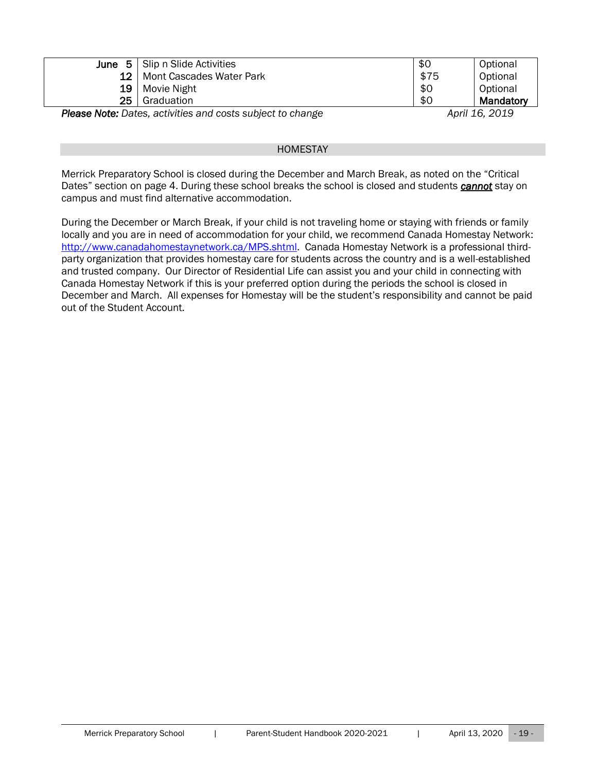| June $51$ | Slip n Slide Activities  | \$0  | Optional  |
|-----------|--------------------------|------|-----------|
| 12        | Mont Cascades Water Park | \$75 | Optional  |
| 19        | Movie Night              | \$0  | Optional  |
| 25        | Graduation               | \$0  | Mandatory |

**Please Note:** Dates, activities and costs subject to change *April 16, 2019 April 16, 2019* 

#### **HOMESTAY**

<span id="page-18-0"></span>Merrick Preparatory School is closed during the December and March Break, as noted on the "Critical Dates" section on page 4. During these school breaks the school is closed and students *cannot* stay on campus and must find alternative accommodation.

During the December or March Break, if your child is not traveling home or staying with friends or family locally and you are in need of accommodation for your child, we recommend Canada Homestay Network: [http://www.canadahomestaynetwork.ca/MPS.shtml.](http://www.canadahomestaynetwork.ca/fpc.shtml) Canada Homestay Network is a professional thirdparty organization that provides homestay care for students across the country and is a well-established and trusted company. Our Director of Residential Life can assist you and your child in connecting with Canada Homestay Network if this is your preferred option during the periods the school is closed in December and March. All expenses for Homestay will be the student's responsibility and cannot be paid out of the Student Account.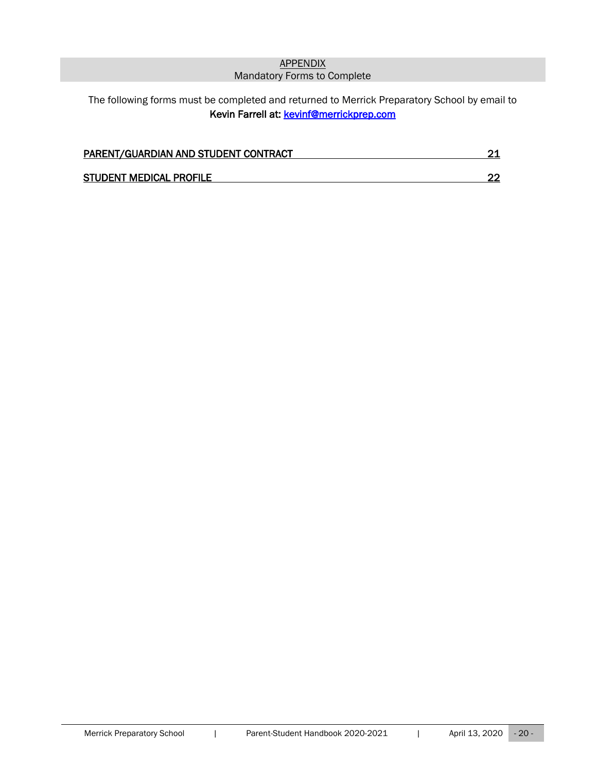# **APPENDIX** Mandatory Forms to Complete

# <span id="page-19-1"></span><span id="page-19-0"></span>The following forms must be completed and returned to Merrick Preparatory School by email to Kevin Farrell at: kevinf@merrickprep.com

| PARENT/GUARDIAN AND STUDENT CONTRACT |  |
|--------------------------------------|--|
|                                      |  |
| <b>STUDENT MEDICAL PROFILE</b>       |  |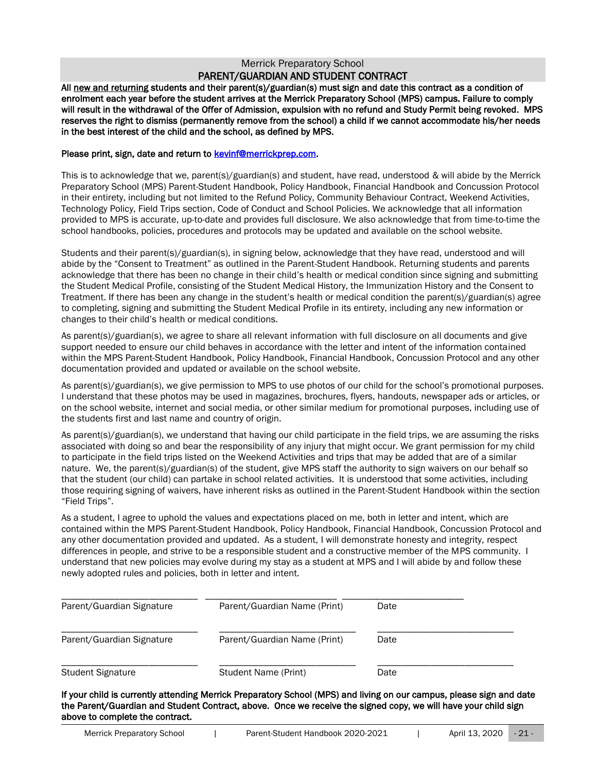#### Merrick Preparatory School PARENT/GUARDIAN AND STUDENT CONTRACT

<span id="page-20-1"></span><span id="page-20-0"></span>All new and returning students and their parent(s)/guardian(s) must sign and date this contract as a condition of enrolment each year before the student arrives at the Merrick Preparatory School (MPS) campus. Failure to comply will result in the withdrawal of the Offer of Admission, expulsion with no refund and Study Permit being revoked. MPS reserves the right to dismiss (permanently remove from the school) a child if we cannot accommodate his/her needs in the best interest of the child and the school, as defined by MPS.

#### Please print, sign, date and return t[o kevinf@merrickprep.com.](mailto:kevinf@merrickprep.com)

This is to acknowledge that we, parent(s)/guardian(s) and student, have read, understood & will abide by the Merrick Preparatory School (MPS) Parent-Student Handbook, Policy Handbook, Financial Handbook and Concussion Protocol in their entirety, including but not limited to the Refund Policy, Community Behaviour Contract, Weekend Activities, Technology Policy, Field Trips section, Code of Conduct and School Policies. We acknowledge that all information provided to MPS is accurate, up-to-date and provides full disclosure. We also acknowledge that from time-to-time the school handbooks, policies, procedures and protocols may be updated and available on the school website.

Students and their parent(s)/guardian(s), in signing below, acknowledge that they have read, understood and will abide by the "Consent to Treatment" as outlined in the Parent-Student Handbook. Returning students and parents acknowledge that there has been no change in their child's health or medical condition since signing and submitting the Student Medical Profile, consisting of the Student Medical History, the Immunization History and the Consent to Treatment. If there has been any change in the student's health or medical condition the parent(s)/guardian(s) agree to completing, signing and submitting the Student Medical Profile in its entirety, including any new information or changes to their child's health or medical conditions.

As parent(s)/guardian(s), we agree to share all relevant information with full disclosure on all documents and give support needed to ensure our child behaves in accordance with the letter and intent of the information contained within the MPS Parent-Student Handbook, Policy Handbook, Financial Handbook, Concussion Protocol and any other documentation provided and updated or available on the school website.

As parent(s)/guardian(s), we give permission to MPS to use photos of our child for the school's promotional purposes. I understand that these photos may be used in magazines, brochures, flyers, handouts, newspaper ads or articles, or on the school website, internet and social media, or other similar medium for promotional purposes, including use of the students first and last name and country of origin.

As parent(s)/guardian(s), we understand that having our child participate in the field trips, we are assuming the risks associated with doing so and bear the responsibility of any injury that might occur. We grant permission for my child to participate in the field trips listed on the Weekend Activities and trips that may be added that are of a similar nature. We, the parent(s)/guardian(s) of the student, give MPS staff the authority to sign waivers on our behalf so that the student (our child) can partake in school related activities. It is understood that some activities, including those requiring signing of waivers, have inherent risks as outlined in the Parent-Student Handbook within the section "Field Trips".

As a student, I agree to uphold the values and expectations placed on me, both in letter and intent, which are contained within the MPS Parent-Student Handbook, Policy Handbook, Financial Handbook, Concussion Protocol and any other documentation provided and updated. As a student, I will demonstrate honesty and integrity, respect differences in people, and strive to be a responsible student and a constructive member of the MPS community. I understand that new policies may evolve during my stay as a student at MPS and I will abide by and follow these newly adopted rules and policies, both in letter and intent.

| Parent/Guardian Signature | Parent/Guardian Name (Print) | Date |
|---------------------------|------------------------------|------|
| Parent/Guardian Signature | Parent/Guardian Name (Print) | Date |
| <b>Student Signature</b>  | Student Name (Print)         | Date |

If your child is currently attending Merrick Preparatory School (MPS) and living on our campus, please sign and date the Parent/Guardian and Student Contract, above. Once we receive the signed copy, we will have your child sign above to complete the contract.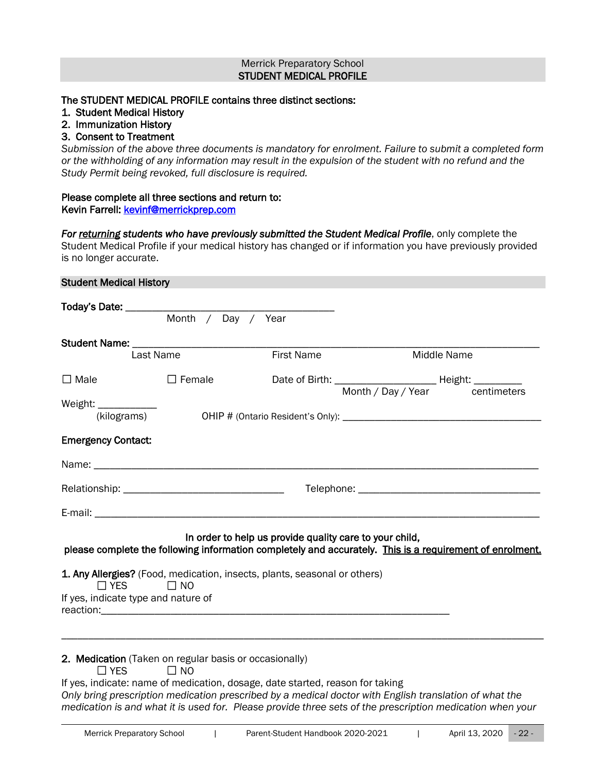#### Merrick Preparatory School STUDENT MEDICAL PROFILE

# <span id="page-21-1"></span><span id="page-21-0"></span>The STUDENT MEDICAL PROFILE contains three distinct sections:

- 1. Student Medical History
- 2. Immunization History

### 3. Consent to Treatment

*Submission of the above three documents is mandatory for enrolment. Failure to submit a completed form or the withholding of any information may result in the expulsion of the student with no refund and the Study Permit being revoked, full disclosure is required.*

### Please complete all three sections and return to:

Kevin Farrell: kevinf@merrickprep.com

For returning students who have previously submitted the Student Medical Profile, only complete the Student Medical Profile if your medical history has changed or if information you have previously provided is no longer accurate.

#### <span id="page-21-2"></span>Student Medical History

|                                                             | Month / Day / Year                                                     |                                                                           |                                                                                                          |
|-------------------------------------------------------------|------------------------------------------------------------------------|---------------------------------------------------------------------------|----------------------------------------------------------------------------------------------------------|
|                                                             | Last Name                                                              | <b>First Name</b>                                                         | Middle Name                                                                                              |
| $\Box$ Male                                                 | $\Box$ Female                                                          |                                                                           | Month / Day / Year centimeters                                                                           |
| <b>Emergency Contact:</b>                                   |                                                                        |                                                                           |                                                                                                          |
|                                                             |                                                                        |                                                                           |                                                                                                          |
|                                                             |                                                                        |                                                                           |                                                                                                          |
|                                                             |                                                                        | In order to help us provide quality care to your child,                   | please complete the following information completely and accurately. This is a requirement of enrolment. |
| $\Box$ YES $\Box$ NO<br>If yes, indicate type and nature of |                                                                        | 1. Any Allergies? (Food, medication, insects, plants, seasonal or others) |                                                                                                          |
| $\sqcap$ YES                                                | 2. Medication (Taken on regular basis or occasionally)<br>$\square$ NO |                                                                           |                                                                                                          |

If yes, indicate: name of medication, dosage, date started, reason for taking *Only bring prescription medication prescribed by a medical doctor with English translation of what the medication is and what it is used for. Please provide three sets of the prescription medication when your*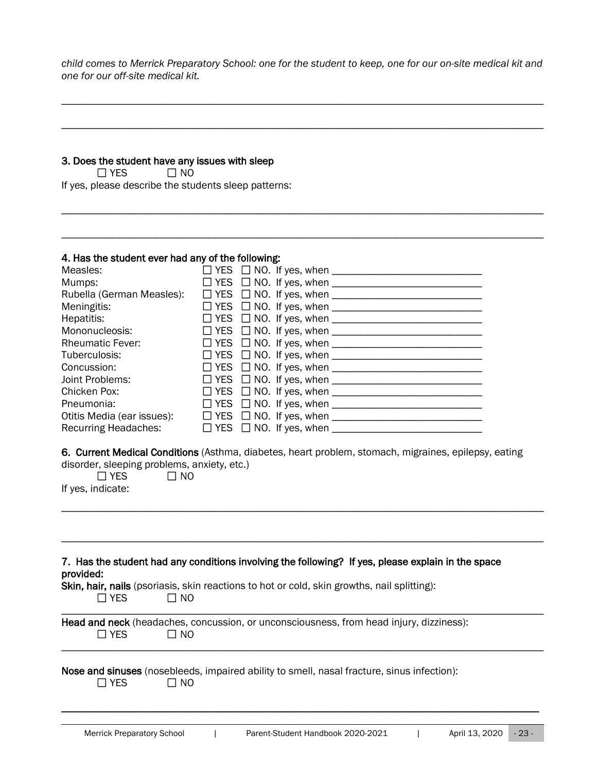*child comes to Merrick Preparatory School: one for the student to keep, one for our on-site medical kit and one for our off-site medical kit.*

\_\_\_\_\_\_\_\_\_\_\_\_\_\_\_\_\_\_\_\_\_\_\_\_\_\_\_\_\_\_\_\_\_\_\_\_\_\_\_\_\_\_\_\_\_\_\_\_\_\_\_\_\_\_\_\_\_\_\_\_\_\_\_\_\_\_\_\_\_\_\_\_\_\_\_\_\_\_\_\_\_\_\_\_\_\_\_\_\_\_

\_\_\_\_\_\_\_\_\_\_\_\_\_\_\_\_\_\_\_\_\_\_\_\_\_\_\_\_\_\_\_\_\_\_\_\_\_\_\_\_\_\_\_\_\_\_\_\_\_\_\_\_\_\_\_\_\_\_\_\_\_\_\_\_\_\_\_\_\_\_\_\_\_\_\_\_\_\_\_\_\_\_\_\_\_\_\_\_\_\_

\_\_\_\_\_\_\_\_\_\_\_\_\_\_\_\_\_\_\_\_\_\_\_\_\_\_\_\_\_\_\_\_\_\_\_\_\_\_\_\_\_\_\_\_\_\_\_\_\_\_\_\_\_\_\_\_\_\_\_\_\_\_\_\_\_\_\_\_\_\_\_\_\_\_\_\_\_\_\_\_\_\_\_\_\_\_\_\_\_\_

\_\_\_\_\_\_\_\_\_\_\_\_\_\_\_\_\_\_\_\_\_\_\_\_\_\_\_\_\_\_\_\_\_\_\_\_\_\_\_\_\_\_\_\_\_\_\_\_\_\_\_\_\_\_\_\_\_\_\_\_\_\_\_\_\_\_\_\_\_\_\_\_\_\_\_\_\_\_\_\_\_\_\_\_\_\_\_\_\_\_

### 3. Does the student have any issues with sleep

 $\Box$  YES  $\Box$  NO If yes, please describe the students sleep patterns:

#### 4. Has the student ever had any of the following:

| Measles:                   |  |                                          |  |
|----------------------------|--|------------------------------------------|--|
| Mumps:                     |  |                                          |  |
| Rubella (German Measles):  |  |                                          |  |
| Meningitis:                |  |                                          |  |
| Hepatitis:                 |  |                                          |  |
| Mononucleosis:             |  |                                          |  |
| <b>Rheumatic Fever:</b>    |  |                                          |  |
| Tuberculosis:              |  |                                          |  |
| Concussion:                |  |                                          |  |
| Joint Problems:            |  |                                          |  |
| Chicken Pox:               |  |                                          |  |
| Pneumonia:                 |  |                                          |  |
| Otitis Media (ear issues): |  |                                          |  |
| Recurring Headaches:       |  | $\Box$ YES $\Box$ NO. If yes, when _____ |  |

6. Current Medical Conditions (Asthma, diabetes, heart problem, stomach, migraines, epilepsy, eating disorder, sleeping problems, anxiety, etc.)

\_\_\_\_\_\_\_\_\_\_\_\_\_\_\_\_\_\_\_\_\_\_\_\_\_\_\_\_\_\_\_\_\_\_\_\_\_\_\_\_\_\_\_\_\_\_\_\_\_\_\_\_\_\_\_\_\_\_\_\_\_\_\_\_\_\_\_\_\_\_\_\_\_\_\_\_\_\_\_\_\_\_\_\_\_\_\_\_\_\_

| aborder, biooping problems, anxiety |           |
|-------------------------------------|-----------|
| $\Box$ YES                          | $\Box$ NO |

|  | If yes, indicate: |
|--|-------------------|
|  |                   |

| provided:    | 7. Has the student had any conditions involving the following? If yes, please explain in the space         |
|--------------|------------------------------------------------------------------------------------------------------------|
| $\Box$ Yes   | <b>Skin, hair, nails</b> (psoriasis, skin reactions to hot or cold, skin growths, nail splitting):<br>∩ NO |
| $\sqcap$ Yes | Head and neck (headaches, concussion, or unconsciousness, from head injury, dizziness):<br>T NO            |
| $\Box$ YFS   | Nose and sinuses (nosebleeds, impaired ability to smell, nasal fracture, sinus infection):<br>∩ NO         |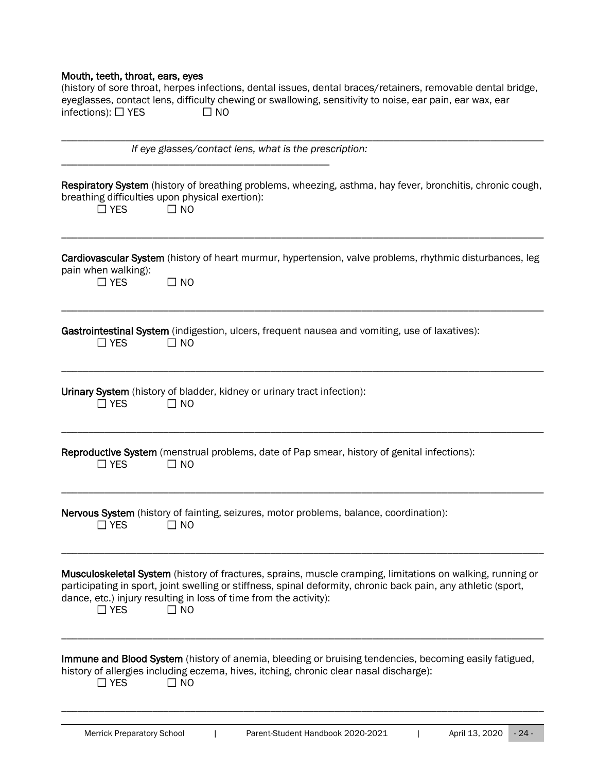# Mouth, teeth, throat, ears, eyes

| (history of sore throat, herpes infections, dental issues, dental braces/retainers, removable dental bridge, |      |  |  |  |
|--------------------------------------------------------------------------------------------------------------|------|--|--|--|
| eyeglasses, contact lens, difficulty chewing or swallowing, sensitivity to noise, ear pain, ear wax, ear     |      |  |  |  |
| infections): $\Box$ YES                                                                                      | ∩ NO |  |  |  |

| If eye glasses/contact lens, what is the prescription:                                                                                                                                                                                                                                                                       |
|------------------------------------------------------------------------------------------------------------------------------------------------------------------------------------------------------------------------------------------------------------------------------------------------------------------------------|
| Respiratory System (history of breathing problems, wheezing, asthma, hay fever, bronchitis, chronic cough,<br>breathing difficulties upon physical exertion):<br>$\Box$ YES<br>$\Box$ NO                                                                                                                                     |
| Cardiovascular System (history of heart murmur, hypertension, valve problems, rhythmic disturbances, leg<br>pain when walking):<br>$\square$ NO<br>$\Box$ YES                                                                                                                                                                |
| Gastrointestinal System (indigestion, ulcers, frequent nausea and vomiting, use of laxatives):<br>$\Box$ NO<br>$\Box$ YES                                                                                                                                                                                                    |
| Urinary System (history of bladder, kidney or urinary tract infection):<br>$\square$ NO<br>$\Box$ YES                                                                                                                                                                                                                        |
| <b>Reproductive System</b> (menstrual problems, date of Pap smear, history of genital infections):<br>$\Box$ YES<br>$\square$ NO                                                                                                                                                                                             |
| Nervous System (history of fainting, seizures, motor problems, balance, coordination):<br>$\Box$ YES<br>$\Box$ NO                                                                                                                                                                                                            |
| Musculoskeletal System (history of fractures, sprains, muscle cramping, limitations on walking, running or<br>participating in sport, joint swelling or stiffness, spinal deformity, chronic back pain, any athletic (sport,<br>dance, etc.) injury resulting in loss of time from the activity):<br>$\Box$ NO<br>$\Box$ YES |
| Immune and Blood System (history of anemia, bleeding or bruising tendencies, becoming easily fatigued,<br>history of allergies including eczema, hives, itching, chronic clear nasal discharge):<br>$\square$ NO<br>$\Box$ YES                                                                                               |

\_\_\_\_\_\_\_\_\_\_\_\_\_\_\_\_\_\_\_\_\_\_\_\_\_\_\_\_\_\_\_\_\_\_\_\_\_\_\_\_\_\_\_\_\_\_\_\_\_\_\_\_\_\_\_\_\_\_\_\_\_\_\_\_\_\_\_\_\_\_\_\_\_\_\_\_\_\_\_\_\_\_\_\_\_\_\_\_\_\_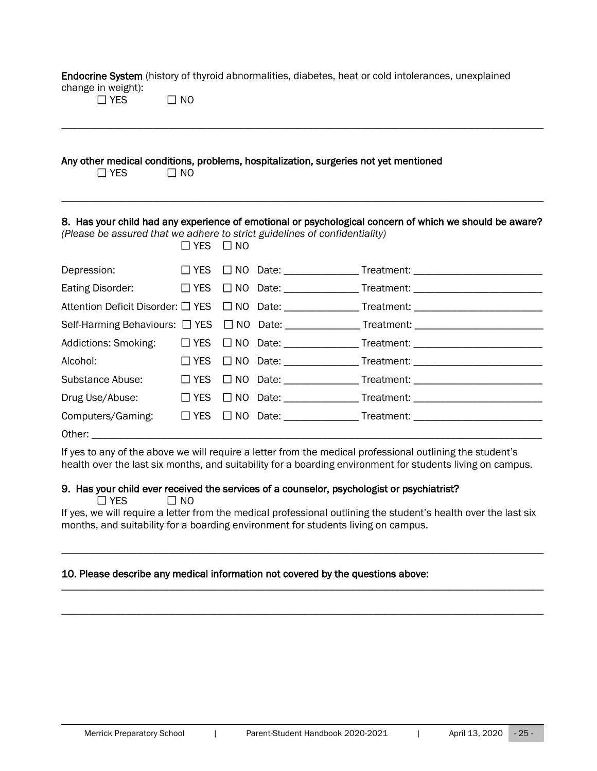Endocrine System (history of thyroid abnormalities, diabetes, heat or cold intolerances, unexplained change in weight):

 $\Box$  YES  $\Box$  NO

#### Any other medical conditions, problems, hospitalization, surgeries not yet mentioned

 $\Box$  YES  $\Box$  NO

# 8. Has your child had any experience of emotional or psychological concern of which we should be aware?

\_\_\_\_\_\_\_\_\_\_\_\_\_\_\_\_\_\_\_\_\_\_\_\_\_\_\_\_\_\_\_\_\_\_\_\_\_\_\_\_\_\_\_\_\_\_\_\_\_\_\_\_\_\_\_\_\_\_\_\_\_\_\_\_\_\_\_\_\_\_\_\_\_\_\_\_\_\_\_\_\_\_\_\_\_\_\_\_\_\_

\_\_\_\_\_\_\_\_\_\_\_\_\_\_\_\_\_\_\_\_\_\_\_\_\_\_\_\_\_\_\_\_\_\_\_\_\_\_\_\_\_\_\_\_\_\_\_\_\_\_\_\_\_\_\_\_\_\_\_\_\_\_\_\_\_\_\_\_\_\_\_\_\_\_\_\_\_\_\_\_\_\_\_\_\_\_\_\_\_\_

*(Please be assured that we adhere to strict guidelines of confidentiality)*  $\Box$  YES  $\Box$  NO

|                                                                                                      | <u>LILU LINU</u> |  |                                                                                                     |
|------------------------------------------------------------------------------------------------------|------------------|--|-----------------------------------------------------------------------------------------------------|
|                                                                                                      |                  |  | Depression: □ YES □ NO Date: ______________Treatment: __________________________                    |
|                                                                                                      |                  |  | Eating Disorder: □ YES □ NO Date: _____________Treatment: ______________________                    |
|                                                                                                      |                  |  | Attention Deficit Disorder: □ YES □ NO Date: _______________Treatment: ____________________________ |
|                                                                                                      |                  |  | Self-Harming Behaviours: □ YES □ NO Date: _____________Treatment: _______________                   |
|                                                                                                      |                  |  | Addictions: Smoking: □ YES □ NO Date: ____________Treatment: ___________________                    |
| Alcohol: Alcohol: Alcohol: Alcohol: Alcohol: Alcohol: Alcohol: Alcohol: Alcohol: Alcohol: Alcohol: A |                  |  |                                                                                                     |
|                                                                                                      |                  |  | Substance Abuse: □ YES □ NO Date: _______________Treatment: ____________________                    |
|                                                                                                      |                  |  | Drug Use/Abuse: □ YES □ NO Date: _____________Treatment: _______________________                    |
| Computers/Gaming:                                                                                    |                  |  | □ YES □ NO Date: ________________ Treatment: ___________________________________                    |
| Other: _______________                                                                               |                  |  |                                                                                                     |

If yes to any of the above we will require a letter from the medical professional outlining the student's health over the last six months, and suitability for a boarding environment for students living on campus.

#### 9. Has your child ever received the services of a counselor, psychologist or psychiatrist?

 $\Box$  YES  $\Box$  NO If yes, we will require a letter from the medical professional outlining the student's health over the last six months, and suitability for a boarding environment for students living on campus.

\_\_\_\_\_\_\_\_\_\_\_\_\_\_\_\_\_\_\_\_\_\_\_\_\_\_\_\_\_\_\_\_\_\_\_\_\_\_\_\_\_\_\_\_\_\_\_\_\_\_\_\_\_\_\_\_\_\_\_\_\_\_\_\_\_\_\_\_\_\_\_\_\_\_\_\_\_\_\_\_\_\_\_\_\_\_\_\_\_\_

\_\_\_\_\_\_\_\_\_\_\_\_\_\_\_\_\_\_\_\_\_\_\_\_\_\_\_\_\_\_\_\_\_\_\_\_\_\_\_\_\_\_\_\_\_\_\_\_\_\_\_\_\_\_\_\_\_\_\_\_\_\_\_\_\_\_\_\_\_\_\_\_\_\_\_\_\_\_\_\_\_\_\_\_\_\_\_\_\_\_

\_\_\_\_\_\_\_\_\_\_\_\_\_\_\_\_\_\_\_\_\_\_\_\_\_\_\_\_\_\_\_\_\_\_\_\_\_\_\_\_\_\_\_\_\_\_\_\_\_\_\_\_\_\_\_\_\_\_\_\_\_\_\_\_\_\_\_\_\_\_\_\_\_\_\_\_\_\_\_\_\_\_\_\_\_\_\_\_\_\_

# 10. Please describe any medical information not covered by the questions above: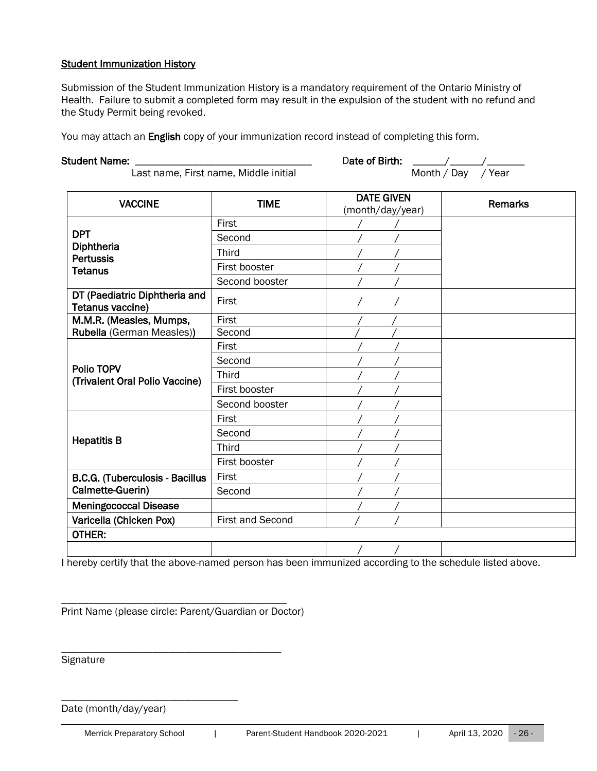#### Student Immunization History

Submission of the Student Immunization History is a mandatory requirement of the Ontario Ministry of Health. Failure to submit a completed form may result in the expulsion of the student with no refund and the Study Permit being revoked.

You may attach an English copy of your immunization record instead of completing this form.

| <b>Student Name:</b>                              |                  | Date of Birth:<br>$\frac{1}{2}$       |                             |  |  |
|---------------------------------------------------|------------------|---------------------------------------|-----------------------------|--|--|
| Last name, First name, Middle initial             |                  | Month / Day / Year                    |                             |  |  |
| <b>VACCINE</b>                                    | <b>TIME</b>      | <b>DATE GIVEN</b><br>(month/day/year) | <b>Remarks</b>              |  |  |
|                                                   | First            |                                       |                             |  |  |
| <b>DPT</b>                                        | Second           |                                       |                             |  |  |
| Diphtheria<br><b>Pertussis</b>                    | Third            |                                       |                             |  |  |
| <b>Tetanus</b>                                    | First booster    |                                       |                             |  |  |
|                                                   | Second booster   |                                       |                             |  |  |
| DT (Paediatric Diphtheria and<br>Tetanus vaccine) | First            |                                       |                             |  |  |
| M.M.R. (Measles, Mumps,                           | First            |                                       |                             |  |  |
| Rubella (German Measles))                         | Second           |                                       |                             |  |  |
| Polio TOPV<br>(Trivalent Oral Polio Vaccine)      | First            |                                       |                             |  |  |
|                                                   | Second           |                                       |                             |  |  |
|                                                   | <b>Third</b>     |                                       |                             |  |  |
|                                                   | First booster    |                                       |                             |  |  |
|                                                   | Second booster   |                                       |                             |  |  |
|                                                   | First            |                                       |                             |  |  |
|                                                   | Second           |                                       |                             |  |  |
| <b>Hepatitis B</b>                                | <b>Third</b>     |                                       |                             |  |  |
|                                                   | First booster    |                                       |                             |  |  |
| B.C.G. (Tuberculosis - Bacillus                   | First            |                                       |                             |  |  |
| Calmette-Guerin)                                  | Second           |                                       |                             |  |  |
| <b>Meningococcal Disease</b>                      |                  |                                       |                             |  |  |
| Varicella (Chicken Pox)                           | First and Second |                                       |                             |  |  |
| OTHER:                                            |                  |                                       |                             |  |  |
|                                                   |                  |                                       |                             |  |  |
| a contract and art for the contracts              |                  | والملفاء والمنافذة                    | and a state of the original |  |  |

I hereby certify that the above-named person has been immunized according to the schedule listed above.

Print Name (please circle: Parent/Guardian or Doctor)

\_\_\_\_\_\_\_\_\_\_\_\_\_\_\_\_\_\_\_\_\_\_\_\_\_\_\_\_\_\_\_\_\_\_\_\_\_\_\_\_\_\_

\_\_\_\_\_\_\_\_\_\_\_\_\_\_\_\_\_\_\_\_\_\_\_\_\_\_\_\_\_\_\_\_\_\_\_\_\_\_\_\_\_

**Signature** 

Date (month/day/year)

\_\_\_\_\_\_\_\_\_\_\_\_\_\_\_\_\_\_\_\_\_\_\_\_\_\_\_\_\_\_\_\_\_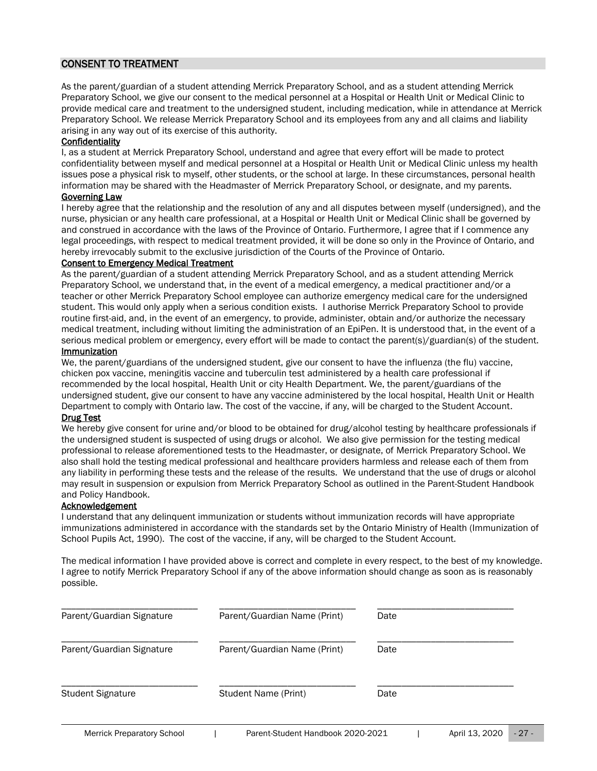# <span id="page-26-0"></span>CONSENT TO TREATMENT

As the parent/guardian of a student attending Merrick Preparatory School, and as a student attending Merrick Preparatory School, we give our consent to the medical personnel at a Hospital or Health Unit or Medical Clinic to provide medical care and treatment to the undersigned student, including medication, while in attendance at Merrick Preparatory School. We release Merrick Preparatory School and its employees from any and all claims and liability arising in any way out of its exercise of this authority.

#### **Confidentiality**

I, as a student at Merrick Preparatory School, understand and agree that every effort will be made to protect confidentiality between myself and medical personnel at a Hospital or Health Unit or Medical Clinic unless my health issues pose a physical risk to myself, other students, or the school at large. In these circumstances, personal health information may be shared with the Headmaster of Merrick Preparatory School, or designate, and my parents.

#### Governing Law

I hereby agree that the relationship and the resolution of any and all disputes between myself (undersigned), and the nurse, physician or any health care professional, at a Hospital or Health Unit or Medical Clinic shall be governed by and construed in accordance with the laws of the Province of Ontario. Furthermore, I agree that if I commence any legal proceedings, with respect to medical treatment provided, it will be done so only in the Province of Ontario, and hereby irrevocably submit to the exclusive jurisdiction of the Courts of the Province of Ontario.

#### Consent to Emergency Medical Treatment

As the parent/guardian of a student attending Merrick Preparatory School, and as a student attending Merrick Preparatory School, we understand that, in the event of a medical emergency, a medical practitioner and/or a teacher or other Merrick Preparatory School employee can authorize emergency medical care for the undersigned student. This would only apply when a serious condition exists. I authorise Merrick Preparatory School to provide routine first-aid, and, in the event of an emergency, to provide, administer, obtain and/or authorize the necessary medical treatment, including without limiting the administration of an EpiPen. It is understood that, in the event of a serious medical problem or emergency, every effort will be made to contact the parent(s)/guardian(s) of the student.

#### Immunization

We, the parent/guardians of the undersigned student, give our consent to have the influenza (the flu) vaccine, chicken pox vaccine, meningitis vaccine and tuberculin test administered by a health care professional if recommended by the local hospital, Health Unit or city Health Department. We, the parent/guardians of the undersigned student, give our consent to have any vaccine administered by the local hospital, Health Unit or Health Department to comply with Ontario law. The cost of the vaccine, if any, will be charged to the Student Account. Drug Test

We hereby give consent for urine and/or blood to be obtained for drug/alcohol testing by healthcare professionals if the undersigned student is suspected of using drugs or alcohol. We also give permission for the testing medical professional to release aforementioned tests to the Headmaster, or designate, of Merrick Preparatory School. We also shall hold the testing medical professional and healthcare providers harmless and release each of them from any liability in performing these tests and the release of the results. We understand that the use of drugs or alcohol may result in suspension or expulsion from Merrick Preparatory School as outlined in the Parent-Student Handbook and Policy Handbook.

#### Acknowledgement

I understand that any delinquent immunization or students without immunization records will have appropriate immunizations administered in accordance with the standards set by the Ontario Ministry of Health (Immunization of School Pupils Act, 1990). The cost of the vaccine, if any, will be charged to the Student Account.

The medical information I have provided above is correct and complete in every respect, to the best of my knowledge. I agree to notify Merrick Preparatory School if any of the above information should change as soon as is reasonably possible.

| Parent/Guardian Signature         | Parent/Guardian Name (Print)      |      | Date |                |        |  |
|-----------------------------------|-----------------------------------|------|------|----------------|--------|--|
| Parent/Guardian Signature         | Parent/Guardian Name (Print)      | Date |      |                |        |  |
| <b>Student Signature</b>          | <b>Student Name (Print)</b>       | Date |      |                |        |  |
| <b>Merrick Preparatory School</b> | Parent-Student Handbook 2020-2021 |      |      | April 13, 2020 | $-27-$ |  |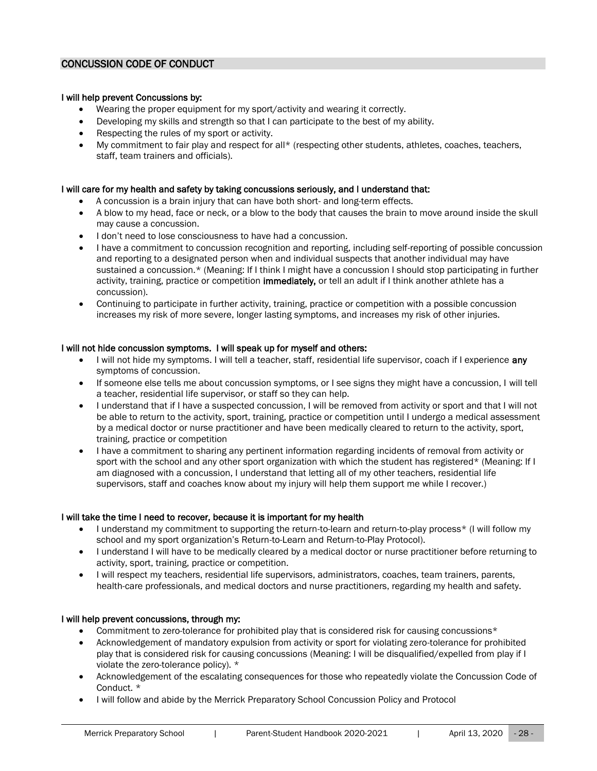#### <span id="page-27-0"></span>CONCUSSION CODE OF CONDUCT

#### I will help prevent Concussions by:

- Wearing the proper equipment for my sport/activity and wearing it correctly.
- Developing my skills and strength so that I can participate to the best of my ability.
- Respecting the rules of my sport or activity.
- My commitment to fair play and respect for all\* (respecting other students, athletes, coaches, teachers, staff, team trainers and officials).

#### I will care for my health and safety by taking concussions seriously, and I understand that:

- A concussion is a brain injury that can have both short- and long-term effects.
- A blow to my head, face or neck, or a blow to the body that causes the brain to move around inside the skull may cause a concussion.
- I don't need to lose consciousness to have had a concussion.
- I have a commitment to concussion recognition and reporting, including self-reporting of possible concussion and reporting to a designated person when and individual suspects that another individual may have sustained a concussion.\* (Meaning: If I think I might have a concussion I should stop participating in further activity, training, practice or competition immediately, or tell an adult if I think another athlete has a concussion).
- Continuing to participate in further activity, training, practice or competition with a possible concussion increases my risk of more severe, longer lasting symptoms, and increases my risk of other injuries.

#### I will not hide concussion symptoms. I will speak up for myself and others:

- I will not hide my symptoms. I will tell a teacher, staff, residential life supervisor, coach if I experience any symptoms of concussion.
- If someone else tells me about concussion symptoms, or I see signs they might have a concussion, I will tell a teacher, residential life supervisor, or staff so they can help.
- I understand that if I have a suspected concussion, I will be removed from activity or sport and that I will not be able to return to the activity, sport, training, practice or competition until I undergo a medical assessment by a medical doctor or nurse practitioner and have been medically cleared to return to the activity, sport, training, practice or competition
- I have a commitment to sharing any pertinent information regarding incidents of removal from activity or sport with the school and any other sport organization with which the student has registered\* (Meaning: If I am diagnosed with a concussion, I understand that letting all of my other teachers, residential life supervisors, staff and coaches know about my injury will help them support me while I recover.)

#### I will take the time I need to recover, because it is important for my health

- I understand my commitment to supporting the return-to-learn and return-to-play process\* (I will follow my school and my sport organization's Return-to-Learn and Return-to-Play Protocol).
- I understand I will have to be medically cleared by a medical doctor or nurse practitioner before returning to activity, sport, training, practice or competition.
- I will respect my teachers, residential life supervisors, administrators, coaches, team trainers, parents, health-care professionals, and medical doctors and nurse practitioners, regarding my health and safety.

#### I will help prevent concussions, through my:

- Commitment to zero-tolerance for prohibited play that is considered risk for causing concussions\*
- Acknowledgement of mandatory expulsion from activity or sport for violating zero-tolerance for prohibited play that is considered risk for causing concussions (Meaning: I will be disqualified/expelled from play if I violate the zero-tolerance policy). \*
- Acknowledgement of the escalating consequences for those who repeatedly violate the Concussion Code of Conduct. \*
- I will follow and abide by the Merrick Preparatory School Concussion Policy and Protocol